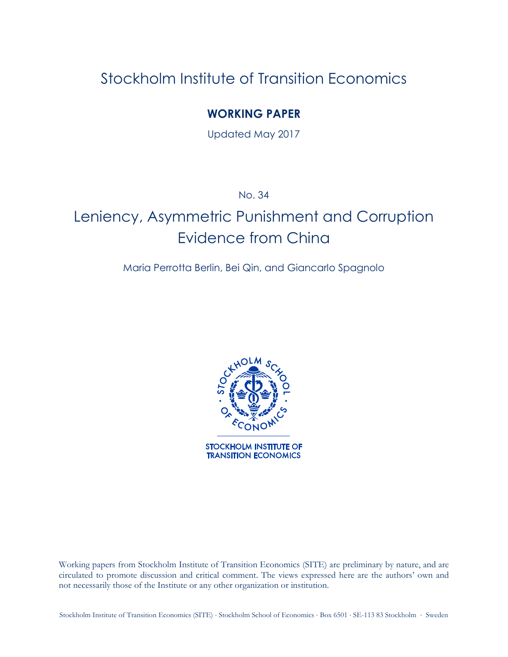# Stockholm Institute of Transition Economics

## **WORKING PAPER**

Updated May 2017

No. 34

# Leniency, Asymmetric Punishment and Corruption Evidence from China

Maria Perrotta Berlin, Bei Qin, and Giancarlo Spagnolo



Working papers from Stockholm Institute of Transition Economics (SITE) are preliminary by nature, and are circulated to promote discussion and critical comment. The views expressed here are the authors' own and not necessarily those of the Institute or any other organization or institution.

Stockholm Institute of Transition Economics (SITE) · Stockholm School of Economics · Box 6501 · SE-113 83 Stockholm · Sweden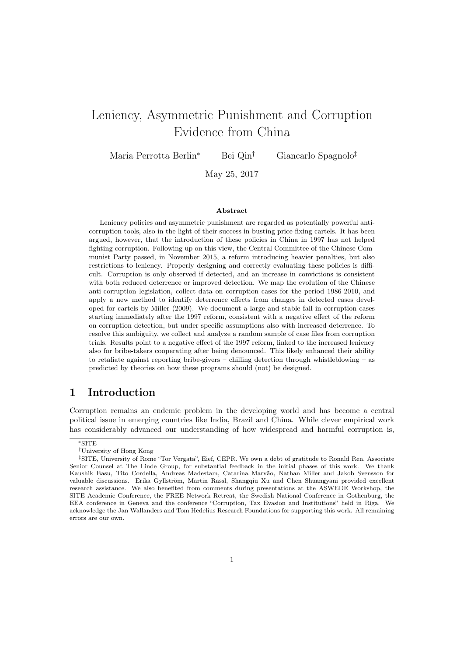## Leniency, Asymmetric Punishment and Corruption Evidence from China

Maria Perrotta Berlin<sup>∗</sup> Bei Qin† Giancarlo Spagnolo‡

May 25, 2017

#### Abstract

Leniency policies and asymmetric punishment are regarded as potentially powerful anticorruption tools, also in the light of their success in busting price-fixing cartels. It has been argued, however, that the introduction of these policies in China in 1997 has not helped fighting corruption. Following up on this view, the Central Committee of the Chinese Communist Party passed, in November 2015, a reform introducing heavier penalties, but also restrictions to leniency. Properly designing and correctly evaluating these policies is difficult. Corruption is only observed if detected, and an increase in convictions is consistent with both reduced deterrence or improved detection. We map the evolution of the Chinese anti-corruption legislation, collect data on corruption cases for the period 1986-2010, and apply a new method to identify deterrence effects from changes in detected cases developed for cartels by [Miller](#page-25-0) [\(2009\)](#page-25-0). We document a large and stable fall in corruption cases starting immediately after the 1997 reform, consistent with a negative effect of the reform on corruption detection, but under specific assumptions also with increased deterrence. To resolve this ambiguity, we collect and analyze a random sample of case files from corruption trials. Results point to a negative effect of the 1997 reform, linked to the increased leniency also for bribe-takers cooperating after being denounced. This likely enhanced their ability to retaliate against reporting bribe-givers – chilling detection through whistleblowing – as predicted by theories on how these programs should (not) be designed.

## 1 Introduction

Corruption remains an endemic problem in the developing world and has become a central political issue in emerging countries like India, Brazil and China. While clever empirical work has considerably advanced our understanding of how widespread and harmful corruption is,

<sup>∗</sup>SITE

<sup>†</sup>University of Hong Kong

<sup>‡</sup>SITE, University of Rome "Tor Vergata", Eief, CEPR. We own a debt of gratitude to Ronald Ren, Associate Senior Counsel at The Linde Group, for substantial feedback in the initial phases of this work. We thank Kaushik Basu, Tito Cordella, Andreas Madestam, Catarina Marvão, Nathan Miller and Jakob Svensson for valuable discussions. Erika Gyllström, Martin Rassl, Shangqiu Xu and Chen Shuangyani provided excellent research assistance. We also benefited from comments during presentations at the ASWEDE Workshop, the SITE Academic Conference, the FREE Network Retreat, the Swedish National Conference in Gothenburg, the EEA conference in Geneva and the conference "Corruption, Tax Evasion and Institutions" held in Riga. We acknowledge the Jan Wallanders and Tom Hedelius Research Foundations for supporting this work. All remaining errors are our own.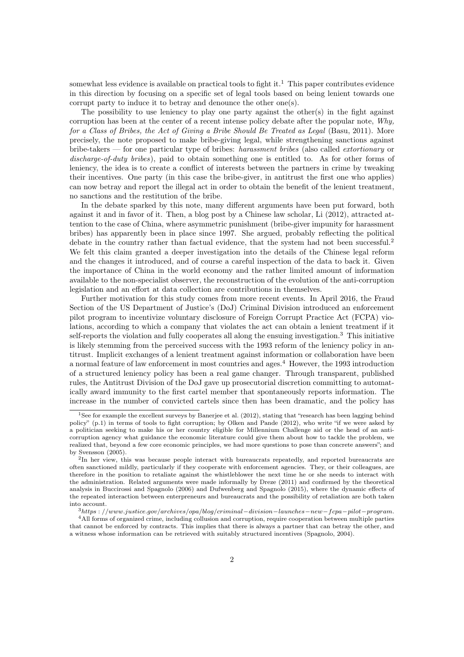somewhat less evidence is available on practical tools to fight it.<sup>[1](#page-2-0)</sup> This paper contributes evidence in this direction by focusing on a specific set of legal tools based on being lenient towards one corrupt party to induce it to betray and denounce the other one(s).

The possibility to use leniency to play one party against the other(s) in the fight against corruption has been at the center of a recent intense policy debate after the popular note, Why, for a Class of Bribes, the Act of Giving a Bribe Should Be Treated as Legal [\(Basu, 2011\)](#page-23-0). More precisely, the note proposed to make bribe-giving legal, while strengthening sanctions against bribe-takers — for one particular type of bribes: harassment bribes (also called extortionary or discharge-of-duty bribes), paid to obtain something one is entitled to. As for other forms of leniency, the idea is to create a conflict of interests between the partners in crime by tweaking their incentives. One party (in this case the bribe-giver, in antitrust the first one who applies) can now betray and report the illegal act in order to obtain the benefit of the lenient treatment, no sanctions and the restitution of the bribe.

In the debate sparked by this note, many different arguments have been put forward, both against it and in favor of it. Then, a blog post by a Chinese law scholar, [Li](#page-25-1) [\(2012\)](#page-25-1), attracted attention to the case of China, where asymmetric punishment (bribe-giver impunity for harassment bribes) has apparently been in place since 1997. She argued, probably reflecting the political debate in the country rather than factual evidence, that the system had not been successful.<sup>[2](#page-2-1)</sup> We felt this claim granted a deeper investigation into the details of the Chinese legal reform and the changes it introduced, and of course a careful inspection of the data to back it. Given the importance of China in the world economy and the rather limited amount of information available to the non-specialist observer, the reconstruction of the evolution of the anti-corruption legislation and an effort at data collection are contributions in themselves.

Further motivation for this study comes from more recent events. In April 2016, the Fraud Section of the US Department of Justice's (DoJ) Criminal Division introduced an enforcement pilot program to incentivize voluntary disclosure of Foreign Corrupt Practice Act (FCPA) violations, according to which a company that violates the act can obtain a lenient treatment if it self-reports the violation and fully cooperates all along the ensuing investigation.<sup>[3](#page-2-2)</sup> This initiative is likely stemming from the perceived success with the 1993 reform of the leniency policy in antitrust. Implicit exchanges of a lenient treatment against information or collaboration have been a normal feature of law enforcement in most countries and ages.[4](#page-2-3) However, the 1993 introduction of a structured leniency policy has been a real game changer. Through transparent, published rules, the Antitrust Division of the DoJ gave up prosecutorial discretion committing to automatically award immunity to the first cartel member that spontaneously reports information. The increase in the number of convicted cartels since then has been dramatic, and the policy has

<span id="page-2-0"></span><sup>&</sup>lt;sup>1</sup>See for example the excellent surveys by [Banerjee et al.](#page-23-1) [\(2012\)](#page-23-1), stating that "research has been lagging behind policy" (p.1) in terms of tools to fight corruption; by Olken and Pande (2012), who write "if we were asked by a politician seeking to make his or her country eligible for Millennium Challenge aid or the head of an anticorruption agency what guidance the economic literature could give them about how to tackle the problem, we realized that, beyond a few core economic principles, we had more questions to pose than concrete answers"; and by [Svensson](#page-25-2) [\(2005\)](#page-25-2).

<span id="page-2-1"></span><sup>&</sup>lt;sup>2</sup>In her view, this was because people interact with bureaucrats repeatedly, and reported bureaucrats are often sanctioned mildly, particularly if they cooperate with enforcement agencies. They, or their colleagues, are therefore in the position to retaliate against the whistleblower the next time he or she needs to interact with the administration. Related arguments were made informally by [Dreze](#page-24-0) [\(2011\)](#page-24-0) and confirmed by the theoretical analysis in [Buccirossi and Spagnolo](#page-23-2) [\(2006\)](#page-23-2) and [Dufwenberg and Spagnolo](#page-24-1) [\(2015\)](#page-24-1), where the dynamic effects of the repeated interaction between enterpreneurs and bureaucrats and the possibility of retaliation are both taken into account.

<span id="page-2-3"></span><span id="page-2-2"></span><sup>3</sup>https : //www.justice.gov/archives/opa/blog/criminal−division−launches−new−fcpa−pilot−program.

<sup>4</sup>All forms of organized crime, including collusion and corruption, require cooperation between multiple parties that cannot be enforced by contracts. This implies that there is always a partner that can betray the other, and a witness whose information can be retrieved with suitably structured incentives [\(Spagnolo, 2004\)](#page-25-3).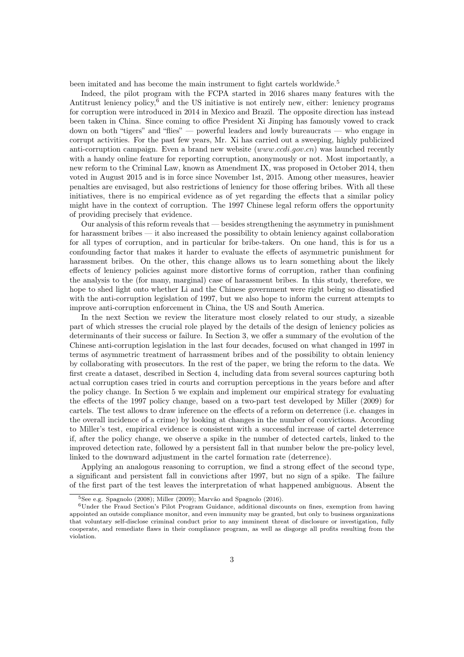been imitated and has become the main instrument to fight cartels worldwide.<sup>[5](#page-3-0)</sup>

Indeed, the pilot program with the FCPA started in 2016 shares many features with the Antitrust leniency policy,<sup>[6](#page-3-1)</sup> and the US initiative is not entirely new, either: leniency programs for corruption were introduced in 2014 in Mexico and Brazil. The opposite direction has instead been taken in China. Since coming to office President Xi Jinping has famously vowed to crack down on both "tigers" and "flies" — powerful leaders and lowly bureaucrats — who engage in corrupt activities. For the past few years, Mr. Xi has carried out a sweeping, highly publicized anti-corruption campaign. Even a brand new website (www.ccdi.gov.cn) was launched recently with a handy online feature for reporting corruption, anonymously or not. Most importantly, a new reform to the Criminal Law, known as Amendment IX, was proposed in October 2014, then voted in August 2015 and is in force since November 1st, 2015. Among other measures, heavier penalties are envisaged, but also restrictions of leniency for those offering bribes. With all these initiatives, there is no empirical evidence as of yet regarding the effects that a similar policy might have in the context of corruption. The 1997 Chinese legal reform offers the opportunity of providing precisely that evidence.

Our analysis of this reform reveals that — besides strengthening the asymmetry in punishment for harassment bribes — it also increased the possibility to obtain leniency against collaboration for all types of corruption, and in particular for bribe-takers. On one hand, this is for us a confounding factor that makes it harder to evaluate the effects of asymmetric punishment for harassment bribes. On the other, this change allows us to learn something about the likely effects of leniency policies against more distortive forms of corruption, rather than confining the analysis to the (for many, marginal) case of harassment bribes. In this study, therefore, we hope to shed light onto whether Li and the Chinese government were right being so dissatisfied with the anti-corruption legislation of 1997, but we also hope to inform the current attempts to improve anti-corruption enforcement in China, the US and South America.

In the next Section we review the literature most closely related to our study, a sizeable part of which stresses the crucial role played by the details of the design of leniency policies as determinants of their success or failure. In Section [3,](#page-6-0) we offer a summary of the evolution of the Chinese anti-corruption legislation in the last four decades, focused on what changed in 1997 in terms of asymmetric treatment of harrassment bribes and of the possibility to obtain leniency by collaborating with prosecutors. In the rest of the paper, we bring the reform to the data. We first create a dataset, described in Section [4,](#page-9-0) including data from several sources capturing both actual corruption cases tried in courts and corruption perceptions in the years before and after the policy change. In Section [5](#page-11-0) we explain and implement our empirical strategy for evaluating the effects of the 1997 policy change, based on a two-part test developed by [Miller](#page-25-0) [\(2009\)](#page-25-0) for cartels. The test allows to draw inference on the effects of a reform on deterrence (i.e. changes in the overall incidence of a crime) by looking at changes in the number of convictions. According to Miller's test, empirical evidence is consistent with a successful increase of cartel deterrence if, after the policy change, we observe a spike in the number of detected cartels, linked to the improved detection rate, followed by a persistent fall in that number below the pre-policy level, linked to the downward adjustment in the cartel formation rate (deterrence).

Applying an analogous reasoning to corruption, we find a strong effect of the second type, a significant and persistent fall in convictions after 1997, but no sign of a spike. The failure of the first part of the test leaves the interpretation of what happened ambiguous. Absent the

<span id="page-3-1"></span><span id="page-3-0"></span><sup>5</sup>See e.g. [Spagnolo](#page-25-4) [\(2008\)](#page-25-4); [Miller](#page-25-0) [\(2009\)](#page-25-0); [Marvão and Spagnolo](#page-25-5) [\(2016\)](#page-25-5).

<sup>6</sup>Under the Fraud Section's Pilot Program Guidance, additional discounts on fines, exemption from having appointed an outside compliance monitor, and even immunity may be granted, but only to business organizations that voluntary self-disclose criminal conduct prior to any imminent threat of disclosure or investigation, fully cooperate, and remediate flaws in their compliance program, as well as disgorge all profits resulting from the violation.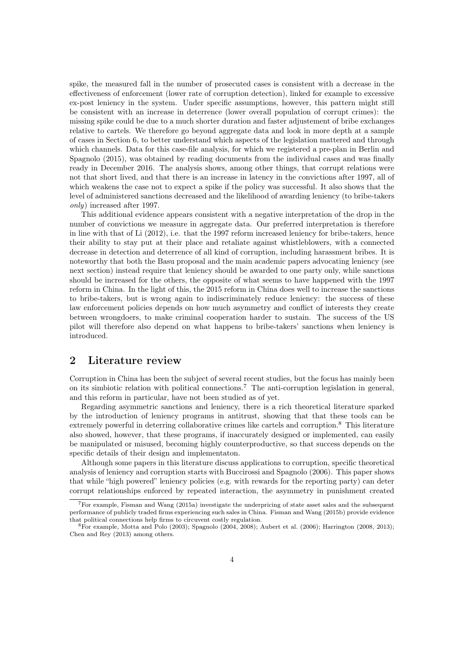spike, the measured fall in the number of prosecuted cases is consistent with a decrease in the effectiveness of enforcement (lower rate of corruption detection), linked for example to excessive ex-post leniency in the system. Under specific assumptions, however, this pattern might still be consistent with an increase in deterrence (lower overall population of corrupt crimes): the missing spike could be due to a much shorter duration and faster adjustement of bribe exchanges relative to cartels. We therefore go beyond aggregate data and look in more depth at a sample of cases in Section [6,](#page-15-0) to better understand which aspects of the legislation mattered and through which channels. Data for this case-file analysis, for which we registered a pre-plan in [Berlin and](#page-23-3) [Spagnolo](#page-23-3) [\(2015\)](#page-23-3), was obtained by reading documents from the individual cases and was finally ready in December 2016. The analysis shows, among other things, that corrupt relations were not that short lived, and that there is an increase in latency in the convictions after 1997, all of which weakens the case not to expect a spike if the policy was successful. It also shows that the level of administered sanctions decreased and the likelihood of awarding leniency (to bribe-takers only) increased after 1997.

This additional evidence appears consistent with a negative interpretation of the drop in the number of convictions we measure in aggregate data. Our preferred interpretation is therefore in line with that of [Li](#page-25-1) [\(2012\)](#page-25-1), i.e. that the 1997 reform increased leniency for bribe-takers, hence their ability to stay put at their place and retaliate against whistleblowers, with a connected decrease in detection and deterrence of all kind of corruption, including harassment bribes. It is noteworthy that both the Basu proposal and the main academic papers advocating leniency (see next section) instead require that leniency should be awarded to one party only, while sanctions should be increased for the others, the opposite of what seems to have happened with the 1997 reform in China. In the light of this, the 2015 reform in China does well to increase the sanctions to bribe-takers, but is wrong again to indiscriminately reduce leniency: the success of these law enforcement policies depends on how much asymmetry and conflict of interests they create between wrongdoers, to make criminal cooperation harder to sustain. The success of the US pilot will therefore also depend on what happens to bribe-takers' sanctions when leniency is introduced.

## <span id="page-4-2"></span>2 Literature review

Corruption in China has been the subject of several recent studies, but the focus has mainly been on its simbiotic relation with political connections.[7](#page-4-0) The anti-corruption legislation in general, and this reform in particular, have not been studied as of yet.

Regarding asymmetric sanctions and leniency, there is a rich theoretical literature sparked by the introduction of leniency programs in antitrust, showing that that these tools can be extremely powerful in deterring collaborative crimes like cartels and corruption.<sup>[8](#page-4-1)</sup> This literature also showed, however, that these programs, if inaccurately designed or implemented, can easily be manipulated or misused, becoming highly counterproductive, so that success depends on the specific details of their design and implementaton.

Although some papers in this literature discuss applications to corruption, specific theoretical analysis of leniency and corruption starts with [Buccirossi and Spagnolo](#page-23-2) [\(2006\)](#page-23-2). This paper shows that while "high powered" leniency policies (e.g. with rewards for the reporting party) can deter corrupt relationships enforced by repeated interaction, the asymmetry in punishment created

<span id="page-4-0"></span> ${}^{7}$ For example, [Fisman and Wang](#page-24-2) [\(2015a\)](#page-24-2) investigate the underpricing of state asset sales and the subsequent performance of publicly traded firms experiencing such sales in China. [Fisman and Wang](#page-24-3) [\(2015b\)](#page-24-3) provide evidence that political connections help firms to circuvent costly regulation.

<span id="page-4-1"></span> ${}^{8}$  For example, [Motta and Polo](#page-25-6) [\(2003\)](#page-25-6); [Spagnolo](#page-25-3) [\(2004,](#page-25-3) [2008\)](#page-25-4); [Aubert et al.](#page-23-4) [\(2006\)](#page-23-4); [Harrington](#page-24-4) [\(2008,](#page-24-4) [2013\)](#page-24-5); [Chen and Rey](#page-23-5) [\(2013\)](#page-23-5) among others.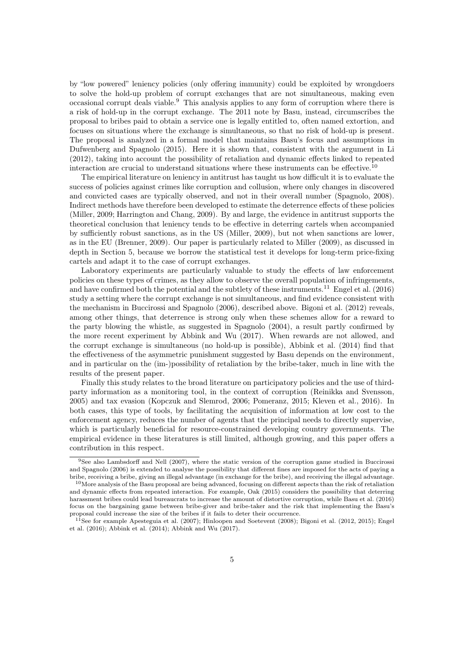by "low powered" leniency policies (only offering immunity) could be exploited by wrongdoers to solve the hold-up problem of corrupt exchanges that are not simultaneous, making even occasional corrupt deals viable.[9](#page-5-0) This analysis applies to any form of corruption where there is a risk of hold-up in the corrupt exchange. The 2011 note by Basu, instead, circumscribes the proposal to bribes paid to obtain a service one is legally entitled to, often named extortion, and focuses on situations where the exchange is simultaneous, so that no risk of hold-up is present. The proposal is analyzed in a formal model that maintains Basu's focus and assumptions in [Dufwenberg and Spagnolo](#page-24-1) [\(2015\)](#page-24-1). Here it is shown that, consistent with the argument in [Li](#page-25-1) [\(2012\)](#page-25-1), taking into account the possibility of retaliation and dynamic effects linked to repeated interaction are crucial to understand situations where these instruments can be effective.[10](#page-5-1)

The empirical literature on leniency in antitrust has taught us how difficult it is to evaluate the success of policies against crimes like corruption and collusion, where only changes in discovered and convicted cases are typically observed, and not in their overall number [\(Spagnolo, 2008\)](#page-25-4). Indirect methods have therefore been developed to estimate the deterrence effects of these policies [\(Miller, 2009;](#page-25-0) [Harrington and Chang, 2009\)](#page-24-6). By and large, the evidence in antitrust supports the theoretical conclusion that leniency tends to be effective in deterring cartels when accompanied by sufficiently robust sanctions, as in the US [\(Miller, 2009\)](#page-25-0), but not when sanctions are lower, as in the EU [\(Brenner, 2009\)](#page-23-6). Our paper is particularly related to [Miller](#page-25-0) [\(2009\)](#page-25-0), as discussed in depth in Section [5,](#page-11-0) because we borrow the statistical test it develops for long-term price-fixing cartels and adapt it to the case of corrupt exchanges.

Laboratory experiments are particularly valuable to study the effects of law enforcement policies on these types of crimes, as they allow to observe the overall population of infringements, and have confirmed both the potential and the subtlety of these instruments.<sup>[11](#page-5-2)</sup> [Engel et al.](#page-24-7) [\(2016\)](#page-24-7) study a setting where the corrupt exchange is not simultaneous, and find evidence consistent with the mechanism in [Buccirossi and Spagnolo](#page-23-2) [\(2006\)](#page-23-2), described above. [Bigoni et al.](#page-23-7) [\(2012\)](#page-23-7) reveals, among other things, that deterrence is strong only when these schemes allow for a reward to the party blowing the whistle, as suggested in [Spagnolo](#page-25-3) [\(2004\)](#page-25-3), a result partly confirmed by the more recent experiment by [Abbink and Wu](#page-23-8) [\(2017\)](#page-23-8). When rewards are not allowed, and the corrupt exchange is simultaneous (no hold-up is possible), [Abbink et al.](#page-23-9) [\(2014\)](#page-23-9) find that the effectiveness of the asymmetric punishment suggested by Basu depends on the environment, and in particular on the (im-)possibility of retaliation by the bribe-taker, much in line with the results of the present paper.

Finally this study relates to the broad literature on participatory policies and the use of thirdparty information as a monitoring tool, in the context of corruption [\(Reinikka and Svensson,](#page-25-7) [2005\)](#page-25-7) and tax evasion [\(Kopczuk and Slemrod, 2006;](#page-24-8) [Pomeranz, 2015;](#page-25-8) [Kleven et al., 2016\)](#page-24-9). In both cases, this type of tools, by facilitating the acquisition of information at low cost to the enforcement agency, reduces the number of agents that the principal needs to directly supervise, which is particularly beneficial for resource-constrained developing country governments. The empirical evidence in these literatures is still limited, although growing, and this paper offers a contribution in this respect.

<span id="page-5-0"></span><sup>9</sup>See also [Lambsdorff and Nell](#page-24-10) [\(2007\)](#page-24-10), where the static version of the corruption game studied in [Buccirossi](#page-23-2) [and Spagnolo](#page-23-2) [\(2006\)](#page-23-2) is extended to analyse the possibility that different fines are imposed for the acts of paying a bribe, receiving a bribe, giving an illegal advantage (in exchange for the bribe), and receiving the illegal advantage.

<span id="page-5-1"></span> $10$ More analysis of the Basu proposal are being advanced, focusing on different aspects than the risk of retaliation and dynamic effects from repeated interaction. For example, [Oak](#page-25-9) [\(2015\)](#page-25-9) considers the possibility that deterring harassment bribes could lead bureaucrats to increase the amount of distortive corruption, while [Basu et al.](#page-23-10) [\(2016\)](#page-23-10) focus on the bargaining game between bribe-giver and bribe-taker and the risk that implementing the Basu's proposal could increase the size of the bribes if it fails to deter their occurrence.

<span id="page-5-2"></span><sup>&</sup>lt;sup>11</sup>See for example [Apesteguia et al.](#page-23-11) [\(2007\)](#page-23-11); [Hinloopen and Soetevent](#page-24-11) [\(2008\)](#page-24-11); [Bigoni et al.](#page-23-7) [\(2012,](#page-23-7) [2015\)](#page-23-12); [Engel](#page-24-7) [et al.](#page-24-7) [\(2016\)](#page-24-7); [Abbink et al.](#page-23-9) [\(2014\)](#page-23-9); [Abbink and Wu](#page-23-8) [\(2017\)](#page-23-8).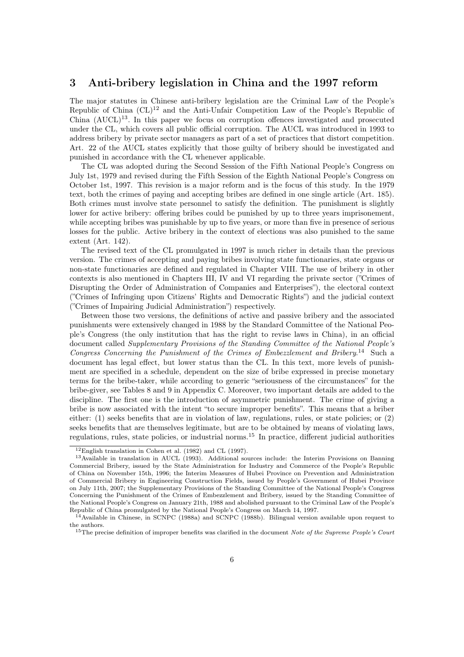### <span id="page-6-0"></span>3 Anti-bribery legislation in China and the 1997 reform

The major statutes in Chinese anti-bribery legislation are the Criminal Law of the People's Republic of China (CL)[12](#page-6-1) and the Anti-Unfair Competition Law of the People's Republic of  $China (AUCL)<sup>13</sup>$  $China (AUCL)<sup>13</sup>$  $China (AUCL)<sup>13</sup>$ . In this paper we focus on corruption offences investigated and prosecuted under the CL, which covers all public official corruption. The AUCL was introduced in 1993 to address bribery by private sector managers as part of a set of practices that distort competition. Art. 22 of the AUCL states explicitly that those guilty of bribery should be investigated and punished in accordance with the CL whenever applicable.

The CL was adopted during the Second Session of the Fifth National People's Congress on July 1st, 1979 and revised during the Fifth Session of the Eighth National People's Congress on October 1st, 1997. This revision is a major reform and is the focus of this study. In the 1979 text, both the crimes of paying and accepting bribes are defined in one single article (Art. 185). Both crimes must involve state personnel to satisfy the definition. The punishment is slightly lower for active bribery: offering bribes could be punished by up to three years imprisonement, while accepting bribes was punishable by up to five years, or more than five in presence of serious losses for the public. Active bribery in the context of elections was also punished to the same extent (Art. 142).

The revised text of the CL promulgated in 1997 is much richer in details than the previous version. The crimes of accepting and paying bribes involving state functionaries, state organs or non-state functionaries are defined and regulated in Chapter VIII. The use of bribery in other contexts is also mentioned in Chapters III, IV and VI regarding the private sector ("Crimes of Disrupting the Order of Administration of Companies and Enterprises"), the electoral context ("Crimes of Infringing upon Citizens' Rights and Democratic Rights") and the judicial context ("Crimes of Impairing Judicial Administration") respectively.

Between those two versions, the definitions of active and passive bribery and the associated punishments were extensively changed in 1988 by the Standard Committee of the National People's Congress (the only institution that has the right to revise laws in China), in an official document called Supplementary Provisions of the Standing Committee of the National People's Congress Concerning the Punishment of the Crimes of Embezzlement and Bribery.<sup>[14](#page-6-3)</sup> Such a document has legal effect, but lower status than the CL. In this text, more levels of punishment are specified in a schedule, dependent on the size of bribe expressed in precise monetary terms for the bribe-taker, while according to generic "seriousness of the circumstances" for the bribe-giver, see Tables [8](#page-35-0) and [9](#page-36-0) in Appendix [C.](#page-35-1) Moreover, two important details are added to the discipline. The first one is the introduction of asymmetric punishment. The crime of giving a bribe is now associated with the intent "to secure improper benefits". This means that a briber either: (1) seeks benefits that are in violation of law, regulations, rules, or state policies; or (2) seeks benefits that are themselves legitimate, but are to be obtained by means of violating laws, regulations, rules, state policies, or industrial norms.[15](#page-6-4) In practice, different judicial authorities

<span id="page-6-2"></span><span id="page-6-1"></span><sup>12</sup>English translation in [Cohen et al.](#page-24-12) [\(1982\)](#page-24-12) and [CL](#page-24-13) [\(1997\)](#page-24-13).

<sup>13</sup>Available in translation in [AUCL](#page-23-13) [\(1993\)](#page-23-13). Additional sources include: the Interim Provisions on Banning Commercial Bribery, issued by the State Administration for Industry and Commerce of the People's Republic of China on November 15th, 1996; the Interim Measures of Hubei Province on Prevention and Administration of Commercial Bribery in Engineering Construction Fields, issued by People's Government of Hubei Province on July 11th, 2007; the Supplementary Provisions of the Standing Committee of the National People's Congress Concerning the Punishment of the Crimes of Embezzlement and Bribery, issued by the Standing Committee of the National People's Congress on January 21th, 1988 and abolished pursuant to the Criminal Law of the People's Republic of China promulgated by the National People's Congress on March 14, 1997.

<span id="page-6-3"></span> $14$ Available in Chinese, in [SCNPC](#page-25-11) [\(1988a\)](#page-25-10) and SCNPC [\(1988b\)](#page-25-11). Bilingual version available upon request to the authors.

<span id="page-6-4"></span> $15$ The precise definition of improper benefits was clarified in the document Note of the Supreme People's Court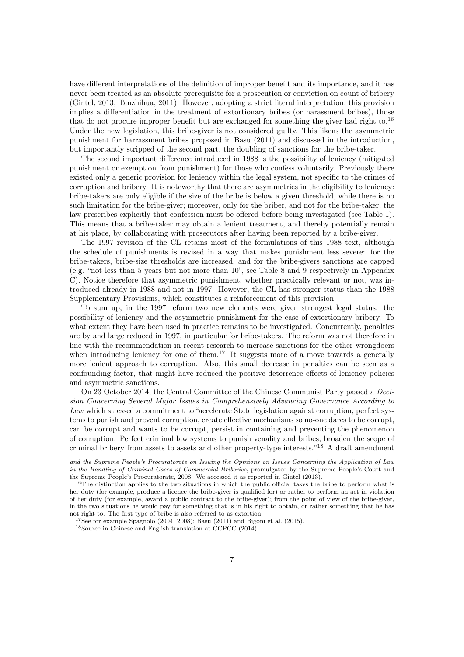have different interpretations of the definition of improper benefit and its importance, and it has never been treated as an absolute prerequisite for a prosecution or conviction on count of bribery [\(Gintel, 2013;](#page-24-14) [Tanzhihua, 2011\)](#page-25-12). However, adopting a strict literal interpretation, this provision implies a differentiation in the treatment of extortionary bribes (or harassment bribes), those that do not procure improper benefit but are exchanged for something the giver had right to.<sup>[16](#page-7-0)</sup> Under the new legislation, this bribe-giver is not considered guilty. This likens the asymmetric punishment for harrassment bribes proposed in [Basu](#page-23-0) [\(2011\)](#page-23-0) and discussed in the introduction, but importantly stripped of the second part, the doubling of sanctions for the bribe-taker.

The second important difference introduced in 1988 is the possibility of leniency (mitigated punishment or exemption from punishment) for those who confess voluntarily. Previously there existed only a generic provision for leniency within the legal system, not specific to the crimes of corruption and bribery. It is noteworthy that there are asymmetries in the eligibility to leniency: bribe-takers are only eligible if the size of the bribe is below a given threshold, while there is no such limitation for the bribe-giver; moreover, only for the briber, and not for the bribe-taker, the law prescribes explicitly that confession must be offered before being investigated (see Table [1\)](#page-8-0). This means that a bribe-taker may obtain a lenient treatment, and thereby potentially remain at his place, by collaborating with prosecutors after having been reported by a bribe-giver.

The 1997 revision of the CL retains most of the formulations of this 1988 text, although the schedule of punishments is revised in a way that makes punishment less severe: for the bribe-takers, bribe-size thresholds are increased, and for the bribe-givers sanctions are capped (e.g. "not less than 5 years but not more than 10", see Table [8](#page-35-0) and [9](#page-36-0) respectively in Appendix [C\)](#page-35-1). Notice therefore that asymmetric punishment, whether practically relevant or not, was introduced already in 1988 and not in 1997. However, the CL has stronger status than the 1988 Supplementary Provisions, which constitutes a reinforcement of this provision.

To sum up, in the 1997 reform two new elements were given strongest legal status: the possibility of leniency and the asymmetric punishment for the case of extortionary bribery. To what extent they have been used in practice remains to be investigated. Concurrently, penalties are by and large reduced in 1997, in particular for bribe-takers. The reform was not therefore in line with the recommendation in recent research to increase sanctions for the other wrongdoers when introducing leniency for one of them.<sup>[17](#page-7-1)</sup> It suggests more of a move towards a generally more lenient approach to corruption. Also, this small decrease in penalties can be seen as a confounding factor, that might have reduced the positive deterrence effects of leniency policies and asymmetric sanctions.

On 23 October 2014, the Central Committee of the Chinese Communist Party passed a Decision Concerning Several Major Issues in Comprehensively Advancing Governance According to Law which stressed a commitment to "accelerate State legislation against corruption, perfect systems to punish and prevent corruption, create effective mechanisms so no-one dares to be corrupt, can be corrupt and wants to be corrupt, persist in containing and preventing the phenomenon of corruption. Perfect criminal law systems to punish venality and bribes, broaden the scope of criminal bribery from assets to assets and other property-type interests." [18](#page-7-2) A draft amendment

and the Supreme People's Procuratorate on Issuing the Opinions on Issues Concerning the Application of Law in the Handling of Criminal Cases of Commercial Briberies, promulgated by the Supreme People's Court and the Supreme People's Procuratorate, 2008. We accessed it as reported in [Gintel](#page-24-14) [\(2013\)](#page-24-14).

<span id="page-7-0"></span><sup>&</sup>lt;sup>16</sup>The distinction applies to the two situations in which the public official takes the bribe to perform what is her duty (for example, produce a licence the bribe-giver is qualified for) or rather to perform an act in violation of her duty (for example, award a public contract to the bribe-giver); from the point of view of the bribe-giver, in the two situations he would pay for something that is in his right to obtain, or rather something that he has not right to. The first type of bribe is also referred to as extortion.

<span id="page-7-1"></span><sup>&</sup>lt;sup>17</sup>See for example [Spagnolo](#page-25-3)  $(2004, 2008)$  $(2004, 2008)$ ; [Basu](#page-23-0)  $(2011)$  and [Bigoni et al.](#page-23-12)  $(2015)$ .

<span id="page-7-2"></span><sup>18</sup>Source in Chinese and English translation at [CCPCC](#page-23-14) [\(2014\)](#page-23-14).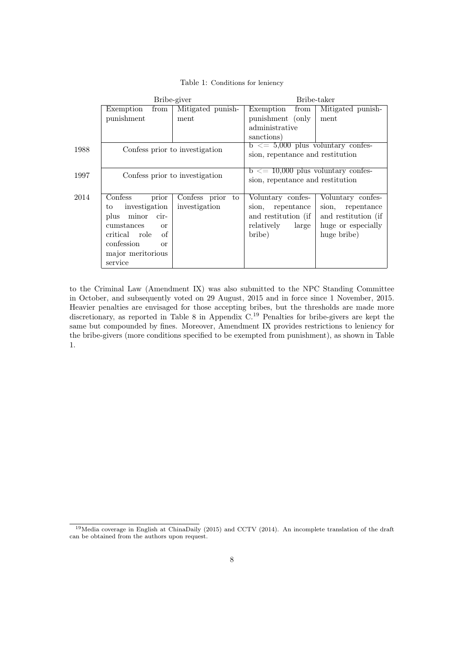<span id="page-8-0"></span>

|      | Bribe-giver                    |                     | Bribe-taker                            |                     |  |
|------|--------------------------------|---------------------|----------------------------------------|---------------------|--|
|      | from<br>Exemption              | Mitigated punish-   | Exemption<br>from                      | Mitigated punish-   |  |
|      | punishment                     | ment                | punishment (only                       | ment                |  |
|      |                                |                     | administrative                         |                     |  |
|      |                                |                     | sanctions)                             |                     |  |
| 1988 |                                |                     | $b \leq 5,000$ plus voluntary confes-  |                     |  |
|      | Confess prior to investigation |                     | sion, repentance and restitution       |                     |  |
|      |                                |                     |                                        |                     |  |
| 1997 | Confess prior to investigation |                     | $b \leq 10,000$ plus voluntary confes- |                     |  |
|      |                                |                     | sion, repentance and restitution       |                     |  |
| 2014 | Confess<br>prior               |                     |                                        |                     |  |
|      |                                | Confess prior<br>to | Voluntary confes-                      | Voluntary confes-   |  |
|      | investigation<br>to            | investigation       | repentance<br>sion,                    | sion, repentance    |  |
|      | plus minor cir-                |                     | and restitution (if                    | and restitution (if |  |
|      | cumstances<br>or               |                     | relatively<br>large                    | huge or especially  |  |
|      | critical role of               |                     | bribe)                                 | huge bribe)         |  |
|      | confession<br>$\alpha$         |                     |                                        |                     |  |
|      | major meritorious              |                     |                                        |                     |  |
|      | service                        |                     |                                        |                     |  |

Table 1: Conditions for leniency

to the Criminal Law (Amendment IX) was also submitted to the NPC Standing Committee in October, and subsequently voted on 29 August, 2015 and in force since 1 November, 2015. Heavier penalties are envisaged for those accepting bribes, but the thresholds are made more discretionary, as reported in Table [8](#page-35-0) in Appendix [C.](#page-35-1)<sup>[19](#page-8-1)</sup> Penalties for bribe-givers are kept the same but compounded by fines. Moreover, Amendment IX provides restrictions to leniency for the bribe-givers (more conditions specified to be exempted from punishment), as shown in Table [1.](#page-8-0)

<span id="page-8-1"></span><sup>19</sup>Media coverage in English at [ChinaDaily](#page-23-15) [\(2015\)](#page-23-15) and [CCTV](#page-23-16) [\(2014\)](#page-23-16). An incomplete translation of the draft can be obtained from the authors upon request.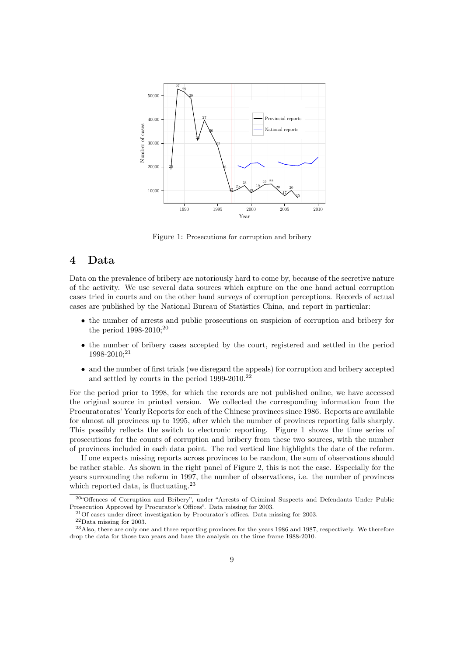<span id="page-9-4"></span>

Figure 1: Prosecutions for corruption and bribery

## <span id="page-9-0"></span>4 Data

Data on the prevalence of bribery are notoriously hard to come by, because of the secretive nature of the activity. We use several data sources which capture on the one hand actual corruption cases tried in courts and on the other hand surveys of corruption perceptions. Records of actual cases are published by the National Bureau of Statistics China, and report in particular:

- the number of arrests and public prosecutions on suspicion of corruption and bribery for the period  $1998-2010$  $1998-2010$  $1998-2010$ ;<sup>20</sup>
- the number of bribery cases accepted by the court, registered and settled in the period 1998-2010;[21](#page-9-2)
- and the number of first trials (we disregard the appeals) for corruption and bribery accepted and settled by courts in the period  $1999-2010.<sup>22</sup>$  $1999-2010.<sup>22</sup>$  $1999-2010.<sup>22</sup>$

For the period prior to 1998, for which the records are not published online, we have accessed the original source in printed version. We collected the corresponding information from the Procuratorates' Yearly Reports for each of the Chinese provinces since 1986. Reports are available for almost all provinces up to 1995, after which the number of provinces reporting falls sharply. This possibly reflects the switch to electronic reporting. Figure [1](#page-9-4) shows the time series of prosecutions for the counts of corruption and bribery from these two sources, with the number of provinces included in each data point. The red vertical line highlights the date of the reform.

If one expects missing reports across provinces to be random, the sum of observations should be rather stable. As shown in the right panel of Figure [2,](#page-10-0) this is not the case. Especially for the years surrounding the reform in 1997, the number of observations, i.e. the number of provinces which reported data, is fluctuating.<sup>[23](#page-9-5)</sup>

<span id="page-9-1"></span><sup>20</sup>"Offences of Corruption and Bribery", under "Arrests of Criminal Suspects and Defendants Under Public Prosecution Approved by Procurator's Offices". Data missing for 2003.

<span id="page-9-2"></span><sup>21</sup>Of cases under direct investigation by Procurator's offices. Data missing for 2003.

<span id="page-9-5"></span><span id="page-9-3"></span><sup>22</sup>Data missing for 2003.

<sup>23</sup>Also, there are only one and three reporting provinces for the years 1986 and 1987, respectively. We therefore drop the data for those two years and base the analysis on the time frame 1988-2010.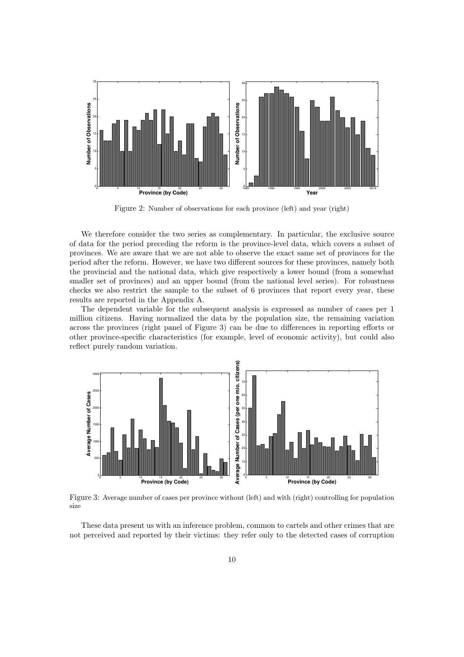<span id="page-10-0"></span>

Figure 2: Number of observations for each province (left) and year (right)

We therefore consider the two series as complementary. In particular, the exclusive source of data for the period preceding the reform is the province-level data, which covers a subset of provinces. We are aware that we are not able to observe the exact same set of provinces for the period after the reform. However, we have two different sources for these provinces, namely both the provincial and the national data, which give respectively a lower bound (from a somewhat smaller set of provinces) and an upper bound (from the national level series). For robustness checks we also restrict the sample to the subset of 6 provinces that report every year, these results are reported in the Appendix [A.](#page-25-13)

The dependent variable for the subsequent analysis is expressed as number of cases per 1 million citizens. Having normalized the data by the population size, the remaining variation across the provinces (right panel of Figure [3\)](#page-10-1) can be due to differences in reporting efforts or other province-specific characteristics (for example, level of economic activity), but could also reflect purely random variation.

<span id="page-10-1"></span>

Figure 3: Average number of cases per province without (left) and with (right) controlling for population size

These data present us with an inference problem, common to cartels and other crimes that are not perceived and reported by their victims: they refer only to the detected cases of corruption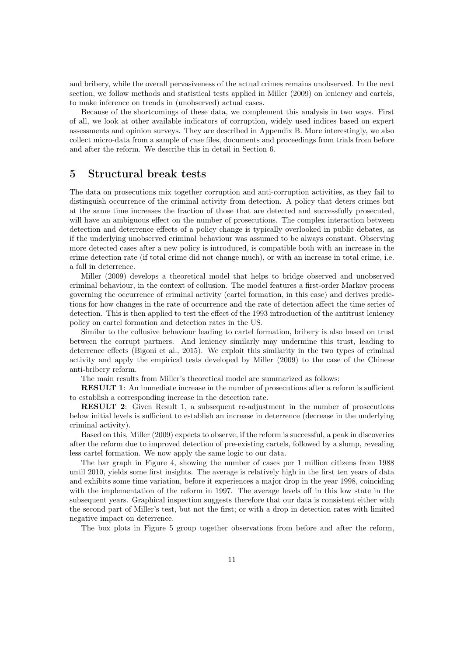and bribery, while the overall pervasiveness of the actual crimes remains unobserved. In the next section, we follow methods and statistical tests applied in [Miller](#page-25-0) [\(2009\)](#page-25-0) on leniency and cartels, to make inference on trends in (unobserved) actual cases.

Because of the shortcomings of these data, we complement this analysis in two ways. First of all, we look at other available indicators of corruption, widely used indices based on expert assessments and opinion surveys. They are described in Appendix [B.](#page-32-0) More interestingly, we also collect micro-data from a sample of case files, documents and proceedings from trials from before and after the reform. We describe this in detail in Section [6.](#page-15-0)

## <span id="page-11-0"></span>5 Structural break tests

The data on prosecutions mix together corruption and anti-corruption activities, as they fail to distinguish occurrence of the criminal activity from detection. A policy that deters crimes but at the same time increases the fraction of those that are detected and successfully prosecuted, will have an ambiguous effect on the number of prosecutions. The complex interaction between detection and deterrence effects of a policy change is typically overlooked in public debates, as if the underlying unobserved criminal behaviour was assumed to be always constant. Observing more detected cases after a new policy is introduced, is compatible both with an increase in the crime detection rate (if total crime did not change much), or with an increase in total crime, i.e. a fall in deterrence.

[Miller](#page-25-0) [\(2009\)](#page-25-0) develops a theoretical model that helps to bridge observed and unobserved criminal behaviour, in the context of collusion. The model features a first-order Markov process governing the occurrence of criminal activity (cartel formation, in this case) and derives predictions for how changes in the rate of occurrence and the rate of detection affect the time series of detection. This is then applied to test the effect of the 1993 introduction of the antitrust leniency policy on cartel formation and detection rates in the US.

Similar to the collusive behaviour leading to cartel formation, bribery is also based on trust between the corrupt partners. And leniency similarly may undermine this trust, leading to deterrence effects [\(Bigoni et al., 2015\)](#page-23-12). We exploit this similarity in the two types of criminal activity and apply the empirical tests developed by [Miller](#page-25-0) [\(2009\)](#page-25-0) to the case of the Chinese anti-bribery reform.

The main results from Miller's theoretical model are summarized as follows:

RESULT 1: An immediate increase in the number of prosecutions after a reform is sufficient to establish a corresponding increase in the detection rate.

RESULT 2: Given Result 1, a subsequent re-adjustment in the number of prosecutions below initial levels is sufficient to establish an increase in deterrence (decrease in the underlying criminal activity).

Based on this, [Miller](#page-25-0) [\(2009\)](#page-25-0) expects to observe, if the reform is successful, a peak in discoveries after the reform due to improved detection of pre-existing cartels, followed by a slump, revealing less cartel formation. We now apply the same logic to our data.

The bar graph in Figure [4,](#page-12-0) showing the number of cases per 1 million citizens from 1988 until 2010, yields some first insights. The average is relatively high in the first ten years of data and exhibits some time variation, before it experiences a major drop in the year 1998, coinciding with the implementation of the reform in 1997. The average levels off in this low state in the subsequent years. Graphical inspection suggests therefore that our data is consistent either with the second part of Miller's test, but not the first; or with a drop in detection rates with limited negative impact on deterrence.

The box plots in Figure [5](#page-12-1) group together observations from before and after the reform,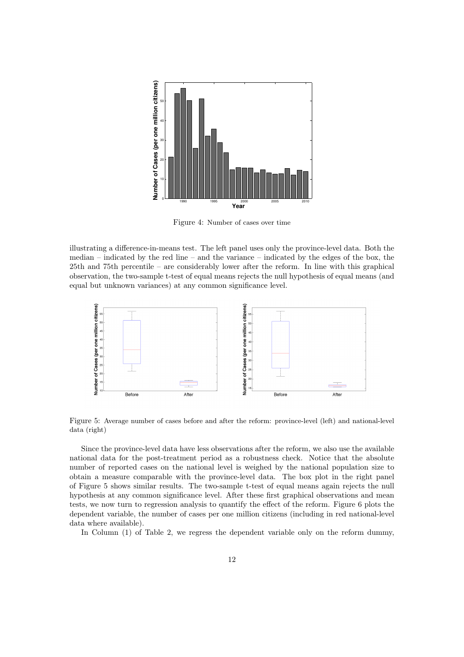<span id="page-12-0"></span>

Figure 4: Number of cases over time

illustrating a difference-in-means test. The left panel uses only the province-level data. Both the median – indicated by the red line – and the variance – indicated by the edges of the box, the 25th and 75th percentile – are considerably lower after the reform. In line with this graphical observation, the two-sample t-test of equal means rejects the null hypothesis of equal means (and equal but unknown variances) at any common significance level.

<span id="page-12-1"></span>

Figure 5: Average number of cases before and after the reform: province-level (left) and national-level data (right)

Since the province-level data have less observations after the reform, we also use the available national data for the post-treatment period as a robustness check. Notice that the absolute number of reported cases on the national level is weighed by the national population size to obtain a measure comparable with the province-level data. The box plot in the right panel of Figure [5](#page-12-1) shows similar results. The two-sample t-test of equal means again rejects the null hypothesis at any common significance level. After these first graphical observations and mean tests, we now turn to regression analysis to quantify the effect of the reform. Figure [6](#page-13-0) plots the dependent variable, the number of cases per one million citizens (including in red national-level data where available).

In Column (1) of Table [2,](#page-14-0) we regress the dependent variable only on the reform dummy,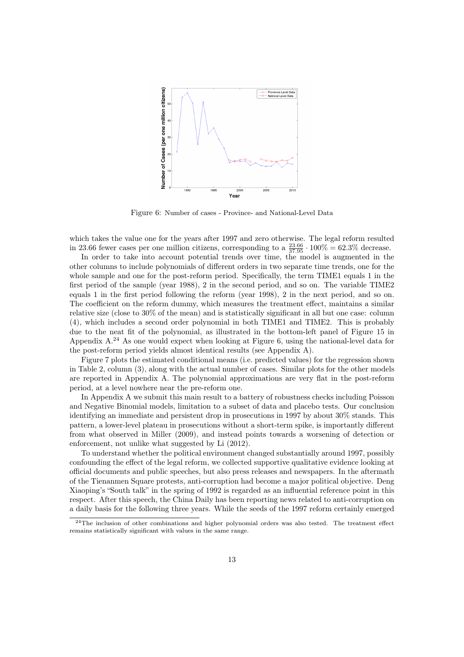<span id="page-13-0"></span>

Figure 6: Number of cases - Province- and National-Level Data

which takes the value one for the years after 1997 and zero otherwise. The legal reform resulted in 23.66 fewer cases per one million citizens, corresponding to a  $\frac{23.66}{37.95} \cdot 100\% = 62.3\%$  decrease.

In order to take into account potential trends over time, the model is augmented in the other columns to include polynomials of different orders in two separate time trends, one for the whole sample and one for the post-reform period. Specifically, the term TIME1 equals 1 in the first period of the sample (year 1988), 2 in the second period, and so on. The variable TIME2 equals 1 in the first period following the reform (year 1998), 2 in the next period, and so on. The coefficient on the reform dummy, which measures the treatment effect, maintains a similar relative size (close to 30% of the mean) and is statistically significant in all but one case: column (4), which includes a second order polynomial in both TIME1 and TIME2. This is probably due to the neat fit of the polynomial, as illustrated in the bottom-left panel of Figure [15](#page-27-0) in Appendix [A.](#page-25-13)[24](#page-13-1) As one would expect when looking at Figure [6,](#page-13-0) using the national-level data for the post-reform period yields almost identical results (see Appendix [A\)](#page-25-13).

Figure [7](#page-15-1) plots the estimated conditional means (i.e. predicted values) for the regression shown in Table [2,](#page-14-0) column (3), along with the actual number of cases. Similar plots for the other models are reported in Appendix [A.](#page-25-13) The polynomial approximations are very flat in the post-reform period, at a level nowhere near the pre-reform one.

In Appendix [A](#page-25-13) we submit this main result to a battery of robustness checks including Poisson and Negative Binomial models, limitation to a subset of data and placebo tests. Our conclusion identifying an immediate and persistent drop in prosecutions in 1997 by about 30% stands. This pattern, a lower-level plateau in prosecutions without a short-term spike, is importantly different from what observed in [Miller](#page-25-0) [\(2009\)](#page-25-0), and instead points towards a worsening of detection or enforcement, not unlike what suggested by [Li](#page-25-1) [\(2012\)](#page-25-1).

To understand whether the political environment changed substantially around 1997, possibly confounding the effect of the legal reform, we collected supportive qualitative evidence looking at official documents and public speeches, but also press releases and newspapers. In the aftermath of the Tienanmen Square protests, anti-corruption had become a major political objective. Deng Xiaoping's "South talk" in the spring of 1992 is regarded as an influential reference point in this respect. After this speech, the China Daily has been reporting news related to anti-corruption on a daily basis for the following three years. While the seeds of the 1997 reform certainly emerged

<span id="page-13-1"></span> $24$ The inclusion of other combinations and higher polynomial orders was also tested. The treatment effect remains statistically significant with values in the same range.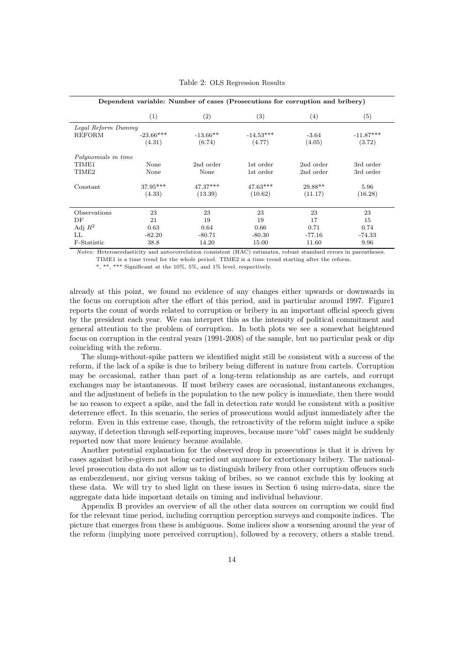<span id="page-14-0"></span>

|                     | Dependent variable: Number of cases (Prosecutions for corruption and bribery) |            |             |                   |             |  |  |  |
|---------------------|-------------------------------------------------------------------------------|------------|-------------|-------------------|-------------|--|--|--|
|                     | (1)                                                                           | (2)        | (3)         | $\left( 4\right)$ | (5)         |  |  |  |
| Legal Reform Dummy  |                                                                               |            |             |                   |             |  |  |  |
| REFORM              | $-23.66***$                                                                   | $-13.66**$ | $-14.53***$ | $-3.64$           | $-11.87***$ |  |  |  |
|                     | (4.31)                                                                        | (6.74)     | (4.77)      | (4.05)            | (3.72)      |  |  |  |
| Polynomials in time |                                                                               |            |             |                   |             |  |  |  |
| TIME1               | None                                                                          | 2nd order  | 1st order   | 2nd order         | 3rd order   |  |  |  |
| TIME2               | None                                                                          | None       | 1st order   | 2nd order         | 3rd order   |  |  |  |
| Constant            | 37.95***                                                                      | 47.37***   | $47.63***$  | 29.88**           | 5.96        |  |  |  |
|                     | (4.33)                                                                        | (13.39)    | (10.62)     | (11.17)           | (16.28)     |  |  |  |
|                     |                                                                               |            |             |                   |             |  |  |  |
| Observations        | 23                                                                            | 23         | 23          | 23                | 23          |  |  |  |
| DF                  | 21                                                                            | 19         | 19          | 17                | 15          |  |  |  |
| Adj $R^2$           | 0.63                                                                          | 0.64       | 0.66        | 0.71              | 0.74        |  |  |  |
| LL                  | $-82.20$                                                                      | $-80.71$   | $-80.30$    | $-77.16$          | $-74.33$    |  |  |  |
| F-Statistic         | 38.8                                                                          | 14.20      | 15.00       | 11.60             | 9.96        |  |  |  |

Table 2: OLS Regression Results

Notes: Heteroscedasticity and autocorrelation consistent (HAC) estimates, robust standard errors in parentheses. TIME1 is a time trend for the whole period. TIME2 is a time trend starting after the reform.

\*, \*\*, \*\*\* Significant at the 10%, 5%, and 1% level, respectively.

already at this point, we found no evidence of any changes either upwards or downwards in the focus on corruption after the effort of this period, and in particular around 1997. Figur[e1](#page-9-4) reports the count of words related to corruption or bribery in an important official speech given by the president each year. We can interpret this as the intensity of political commitment and general attention to the problem of corruption. In both plots we see a somewhat heightened focus on corruption in the central years (1991-2008) of the sample, but no particular peak or dip coinciding with the reform.

The slump-without-spike pattern we identified might still be consistent with a success of the reform, if the lack of a spike is due to bribery being different in nature from cartels. Corruption may be occasional, rather than part of a long-term relationship as are cartels, and corrupt exchanges may be istantaneous. If most bribery cases are occasional, instantaneous exchanges, and the adjustment of beliefs in the population to the new policy is immediate, then there would be no reason to expect a spike, and the fall in detection rate would be consistent with a positive deterrence effect. In this scenario, the series of prosecutions would adjust immediately after the reform. Even in this extreme case, though, the retroactivity of the reform might induce a spike anyway, if detection through self-reporting improves, because more "old" cases might be suddenly reported now that more leniency became available.

Another potential explanation for the observed drop in prosecutions is that it is driven by cases against bribe-givers not being carried out anymore for extortionary bribery. The nationallevel prosecution data do not allow us to distinguish bribery from other corruption offences such as embezzlement, nor giving versus taking of bribes, so we cannot exclude this by looking at these data. We will try to shed light on these issues in Section [6](#page-15-0) using micro-data, since the aggregate data hide important details on timing and individual behaviour.

Appendix [B](#page-32-0) provides an overview of all the other data sources on corruption we could find for the relevant time period, including corruption perception surveys and composite indices. The picture that emerges from these is ambiguous. Some indices show a worsening around the year of the reform (implying more perceived corruption), followed by a recovery, others a stable trend.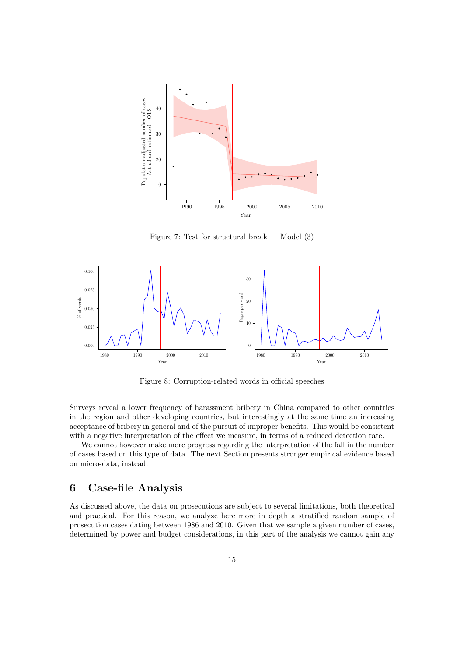<span id="page-15-1"></span>

Figure 7: Test for structural break — Model (3)



Figure 8: Corruption-related words in official speeches

Surveys reveal a lower frequency of harassment bribery in China compared to other countries in the region and other developing countries, but interestingly at the same time an increasing acceptance of bribery in general and of the pursuit of improper benefits. This would be consistent with a negative interpretation of the effect we measure, in terms of a reduced detection rate.

We cannot however make more progress regarding the interpretation of the fall in the number of cases based on this type of data. The next Section presents stronger empirical evidence based on micro-data, instead.

## <span id="page-15-0"></span>6 Case-file Analysis

As discussed above, the data on prosecutions are subject to several limitations, both theoretical and practical. For this reason, we analyze here more in depth a stratified random sample of prosecution cases dating between 1986 and 2010. Given that we sample a given number of cases, determined by power and budget considerations, in this part of the analysis we cannot gain any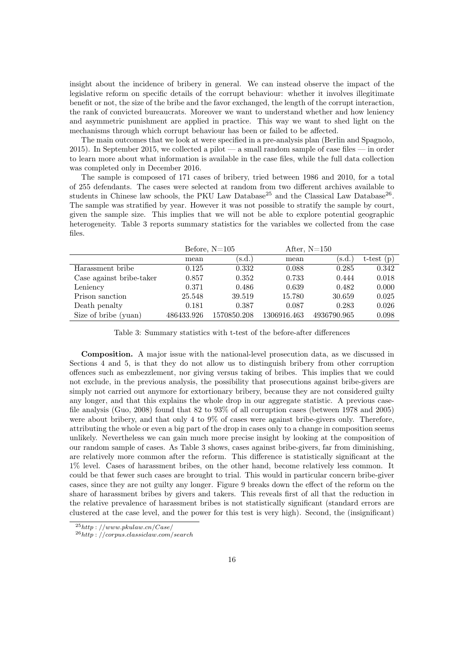insight about the incidence of bribery in general. We can instead observe the impact of the legislative reform on specific details of the corrupt behaviour: whether it involves illegitimate benefit or not, the size of the bribe and the favor exchanged, the length of the corrupt interaction, the rank of convicted bureaucrats. Moreover we want to understand whether and how leniency and asymmetric punishment are applied in practice. This way we want to shed light on the mechanisms through which corrupt behaviour has been or failed to be affected.

The main outcomes that we look at were specified in a pre-analysis plan [\(Berlin and Spagnolo,](#page-23-3) [2015\)](#page-23-3). In September 2015, we collected a pilot — a small random sample of case files — in order to learn more about what information is available in the case files, while the full data collection was completed only in December 2016.

The sample is composed of 171 cases of bribery, tried between 1986 and 2010, for a total of 255 defendants. The cases were selected at random from two different archives available to students in Chinese law schools, the PKU Law Database<sup>[25](#page-16-0)</sup> and the Classical Law Database<sup>[26](#page-16-1)</sup>. The sample was stratified by year. However it was not possible to stratify the sample by court, given the sample size. This implies that we will not be able to explore potential geographic heterogeneity. Table [3](#page-16-2) reports summary statistics for the variables we collected from the case files.

<span id="page-16-2"></span>

|                          |            | Before, $N=105$ |             | After, $N=150$ |             |
|--------------------------|------------|-----------------|-------------|----------------|-------------|
|                          | mean       | (s.d.)          | mean        | (s.d.          | $t-test(p)$ |
| Harassment bribe         | 0.125      | 0.332           | 0.088       | 0.285          | 0.342       |
| Case against bribe-taker | 0.857      | 0.352           | 0.733       | 0.444          | 0.018       |
| Leniency                 | 0.371      | 0.486           | 0.639       | 0.482          | 0.000       |
| Prison sanction          | 25.548     | 39.519          | 15.780      | 30.659         | 0.025       |
| Death penalty            | 0.181      | 0.387           | 0.087       | 0.283          | 0.026       |
| Size of bribe (yuan)     | 486433.926 | 1570850.208     | 1306916.463 | 4936790.965    | 0.098       |

Table 3: Summary statistics with t-test of the before-after differences

Composition. A major issue with the national-level prosecution data, as we discussed in Sections [4](#page-9-0) and [5,](#page-11-0) is that they do not allow us to distinguish bribery from other corruption offences such as embezzlement, nor giving versus taking of bribes. This implies that we could not exclude, in the previous analysis, the possibility that prosecutions against bribe-givers are simply not carried out anymore for extortionary bribery, because they are not considered guilty any longer, and that this explains the whole drop in our aggregate statistic. A previous casefile analysis [\(Guo, 2008\)](#page-24-15) found that 82 to 93% of all corruption cases (between 1978 and 2005) were about bribery, and that only 4 to 9% of cases were against bribe-givers only. Therefore, attributing the whole or even a big part of the drop in cases only to a change in composition seems unlikely. Nevertheless we can gain much more precise insight by looking at the composition of our random sample of cases. As Table [3](#page-16-2) shows, cases against bribe-givers, far from diminishing, are relatively more common after the reform. This difference is statistically significant at the 1% level. Cases of harassment bribes, on the other hand, become relatively less common. It could be that fewer such cases are brought to trial. This would in particular concern bribe-giver cases, since they are not guilty any longer. Figure [9](#page-17-0) breaks down the effect of the reform on the share of harassment bribes by givers and takers. This reveals first of all that the reduction in the relative prevalence of harassment bribes is not statistically significant (standard errors are clustered at the case level, and the power for this test is very high). Second, the (insignificant)

<span id="page-16-0"></span> $^{25}$ http : //www.pkulaw.cn/Case/

<span id="page-16-1"></span><sup>26</sup>http : //corpus.classiclaw.com/search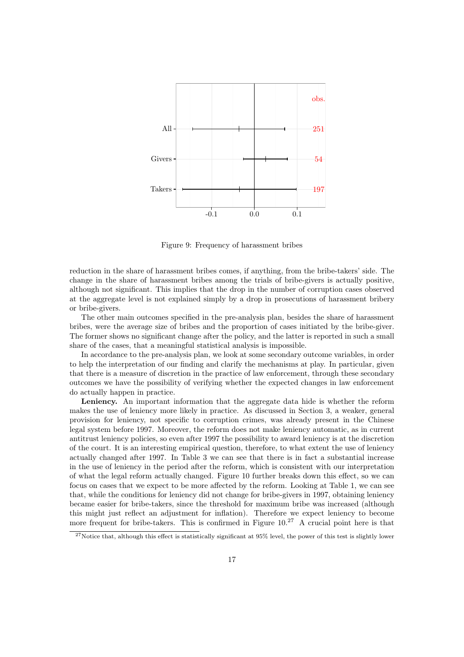<span id="page-17-0"></span>

Figure 9: Frequency of harassment bribes

reduction in the share of harassment bribes comes, if anything, from the bribe-takers' side. The change in the share of harassment bribes among the trials of bribe-givers is actually positive, although not significant. This implies that the drop in the number of corruption cases observed at the aggregate level is not explained simply by a drop in prosecutions of harassment bribery or bribe-givers.

The other main outcomes specified in the pre-analysis plan, besides the share of harassment bribes, were the average size of bribes and the proportion of cases initiated by the bribe-giver. The former shows no significant change after the policy, and the latter is reported in such a small share of the cases, that a meaningful statistical analysis is impossible.

In accordance to the pre-analysis plan, we look at some secondary outcome variables, in order to help the interpretation of our finding and clarify the mechanisms at play. In particular, given that there is a measure of discretion in the practice of law enforcement, through these secondary outcomes we have the possibility of verifying whether the expected changes in law enforcement do actually happen in practice.

Leniency. An important information that the aggregate data hide is whether the reform makes the use of leniency more likely in practice. As discussed in Section [3,](#page-6-0) a weaker, general provision for leniency, not specific to corruption crimes, was already present in the Chinese legal system before 1997. Moreover, the reform does not make leniency automatic, as in current antitrust leniency policies, so even after 1997 the possibility to award leniency is at the discretion of the court. It is an interesting empirical question, therefore, to what extent the use of leniency actually changed after 1997. In Table [3](#page-16-2) we can see that there is in fact a substantial increase in the use of leniency in the period after the reform, which is consistent with our interpretation of what the legal reform actually changed. Figure [10](#page-18-0) further breaks down this effect, so we can focus on cases that we expect to be more affected by the reform. Looking at Table [1,](#page-8-0) we can see that, while the conditions for leniency did not change for bribe-givers in 1997, obtaining leniency became easier for bribe-takers, since the threshold for maximum bribe was increased (although this might just reflect an adjustment for inflation). Therefore we expect leniency to become more frequent for bribe-takers. This is confirmed in Figure  $10<sup>27</sup>$  $10<sup>27</sup>$  $10<sup>27</sup>$  A crucial point here is that

<span id="page-17-1"></span><sup>&</sup>lt;sup>27</sup>Notice that, although this effect is statistically significant at  $95\%$  level, the power of this test is slightly lower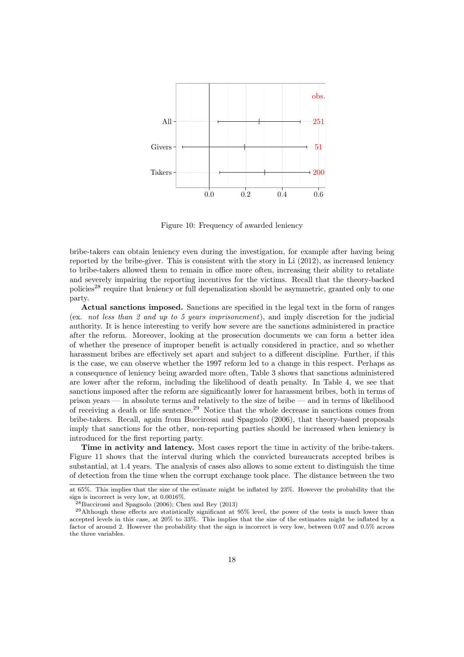<span id="page-18-0"></span>

Figure 10: Frequency of awarded leniency

bribe-takers can obtain leniency even during the investigation, for example after having being reported by the bribe-giver. This is consistent with the story in [Li](#page-25-1) [\(2012\)](#page-25-1), as increased leniency to bribe-takers allowed them to remain in office more often, increasing their ability to retaliate and severely impairing the reporting incentives for the victims. Recall that the theory-backed policies<sup>[28](#page-18-1)</sup> require that leniency or full depenalization should be asymmetric, granted only to one party.

Actual sanctions imposed. Sanctions are specified in the legal text in the form of ranges (ex. not less than 2 and up to 5 years imprisonement), and imply discretion for the judicial authority. It is hence interesting to verify how severe are the sanctions administered in practice after the reform. Moreover, looking at the prosecution documents we can form a better idea of whether the presence of improper benefit is actually considered in practice, and so whether harassment bribes are effectively set apart and subject to a different discipline. Further, if this is the case, we can observe whether the 1997 reform led to a change in this respect. Perhaps as a consequence of leniency being awarded more often, Table [3](#page-16-2) shows that sanctions administered are lower after the reform, including the likelihood of death penalty. In Table [4,](#page-19-0) we see that sanctions imposed after the reform are significantly lower for harassment bribes, both in terms of prison years — in absolute terms and relatively to the size of bribe — and in terms of likelihood of receiving a death or life sentence.[29](#page-18-2) Notice that the whole decrease in sanctions comes from bribe-takers. Recall, again from [Buccirossi and Spagnolo](#page-23-2) [\(2006\)](#page-23-2), that theory-based proposals imply that sanctions for the other, non-reporting parties should be increased when leniency is introduced for the first reporting party.

Time in activity and latency. Most cases report the time in activity of the bribe-takers. Figure [11](#page-19-1) shows that the interval during which the convicted bureaucrats accepted bribes is substantial, at 1.4 years. The analysis of cases also allows to some extent to distinguish the time of detection from the time when the corrupt exchange took place. The distance between the two

at 65%. This implies that the size of the estimate might be inflated by 23%. However the probability that the sign is incorrect is very low, at 0.0016%.

<span id="page-18-2"></span><span id="page-18-1"></span> ${}^{8}$ [Buccirossi and Spagnolo](#page-23-2) [\(2006\)](#page-23-2); [Chen and Rey](#page-23-5) [\(2013\)](#page-23-5)

<sup>29</sup>Although these effects are statistically significant at 95% level, the power of the tests is much lower than accepted levels in this case, at 20% to 33%. This implies that the size of the estimates might be inflated by a factor of around 2. However the probability that the sign is incorrect is very low, between 0.07 and 0.5% across the three variables.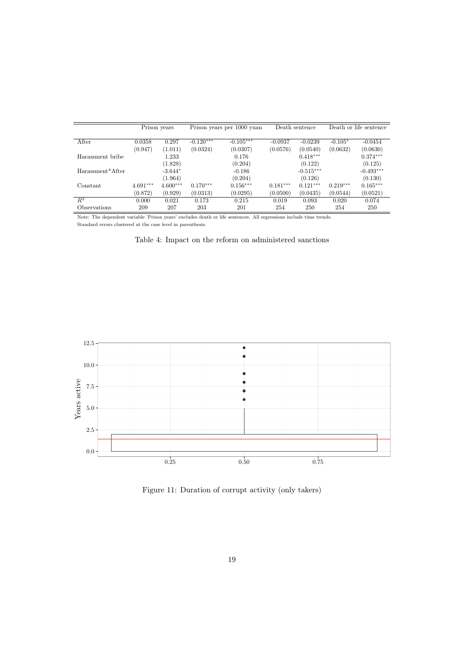<span id="page-19-0"></span>

|                  |            | Prison years |             | Prison years per 1000 yuan |            | Death sentence |            | Death or life sentence |
|------------------|------------|--------------|-------------|----------------------------|------------|----------------|------------|------------------------|
|                  |            |              |             |                            |            |                |            |                        |
| After            | 0.0358     | 0.297        | $-0.120***$ | $-0.105***$                | $-0.0937$  | $-0.0239$      | $-0.105*$  | $-0.0454$              |
|                  | (0.947)    | (1.011)      | (0.0324)    | (0.0307)                   | (0.0576)   | (0.0540)       | (0.0632)   | (0.0630)               |
| Harassment bribe |            | 1.233        |             | 0.176                      |            | $0.418***$     |            | $0.374***$             |
|                  |            | (1.828)      |             | (0.204)                    |            | (0.122)        |            | (0.125)                |
| Harassment*After |            | $-3.644*$    |             | $-0.186$                   |            | $-0.515***$    |            | $-0.493***$            |
|                  |            | (1.964)      |             | (0.204)                    |            | (0.126)        |            | (0.130)                |
| Constant         | $4.691***$ | $4.600***$   | $0.170***$  | $0.156***$                 | $0.181***$ | $0.121***$     | $0.219***$ | $0.165***$             |
|                  | (0.872)    | (0.929)      | (0.0313)    | (0.0295)                   | (0.0500)   | (0.0435)       | (0.0544)   | (0.0521)               |
| $R^2$            | 0.000      | 0.021        | 0.173       | 0.215                      | 0.019      | 0.093          | 0.020      | 0.074                  |
| Observations     | 209        | 207          | 203         | 201                        | 254        | 250            | 254        | 250                    |

Note: The dependent variable 'Prison years' excludes death or life sentences. All regressions include time trends.

Standard errors clustered at the case level in parenthesis.

| Table 4: Impact on the reform on administered sanctions |  |
|---------------------------------------------------------|--|
|---------------------------------------------------------|--|

<span id="page-19-1"></span>

Figure 11: Duration of corrupt activity (only takers)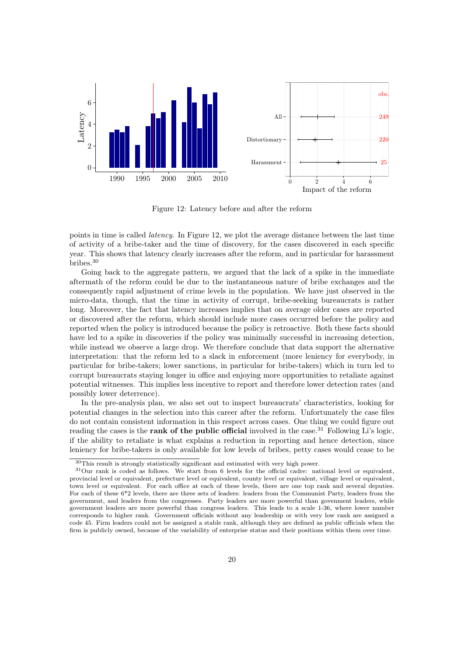<span id="page-20-0"></span>

Figure 12: Latency before and after the reform

points in time is called latency. In Figure [12,](#page-20-0) we plot the average distance between the last time of activity of a bribe-taker and the time of discovery, for the cases discovered in each specific year. This shows that latency clearly increases after the reform, and in particular for harassment bribes.[30](#page-20-1)

Going back to the aggregate pattern, we argued that the lack of a spike in the immediate aftermath of the reform could be due to the instantaneous nature of bribe exchanges and the consequently rapid adjustment of crime levels in the population. We have just observed in the micro-data, though, that the time in activity of corrupt, bribe-seeking bureaucrats is rather long. Moreover, the fact that latency increases implies that on average older cases are reported or discovered after the reform, which should include more cases occurred before the policy and reported when the policy is introduced because the policy is retroactive. Both these facts should have led to a spike in discoveries if the policy was minimally successful in increasing detection, while instead we observe a large drop. We therefore conclude that data support the alternative interpretation: that the reform led to a slack in enforcement (more leniency for everybody, in particular for bribe-takers; lower sanctions, in particular for bribe-takers) which in turn led to corrupt bureaucrats staying longer in office and enjoying more opportunities to retaliate against potential witnesses. This implies less incentive to report and therefore lower detection rates (and possibly lower deterrence).

In the pre-analysis plan, we also set out to inspect bureaucrats' characteristics, looking for potential changes in the selection into this career after the reform. Unfortunately the case files do not contain consistent information in this respect across cases. One thing we could figure out reading the cases is the **rank of the public official** involved in the case.<sup>[31](#page-20-2)</sup> Following Li's logic, if the ability to retaliate is what explains a reduction in reporting and hence detection, since leniency for bribe-takers is only available for low levels of bribes, petty cases would cease to be

<span id="page-20-2"></span><span id="page-20-1"></span><sup>&</sup>lt;sup>30</sup>This result is strongly statistically significant and estimated with very high power.

<sup>31</sup>Our rank is coded as follows. We start from 6 levels for the official cadre: national level or equivalent, provincial level or equivalent, prefecture level or equivalent, county level or equivalent, village level or equivalent, town level or equivalent. For each office at each of these levels, there are one top rank and several deputies. For each of these 6\*2 levels, there are three sets of leaders: leaders from the Communist Party, leaders from the government, and leaders from the congresses. Party leaders are more powerful than govenment leaders, while government leaders are more powerful than congress leaders. This leads to a scale 1-36, where lower number corresponds to higher rank. Government officials without any leadership or with very low rank are assigned a code 45. Firm leaders could not be assigned a stable rank, although they are defined as public officials when the firm is publicly owned, because of the variability of enterprise status and their positions within them over time.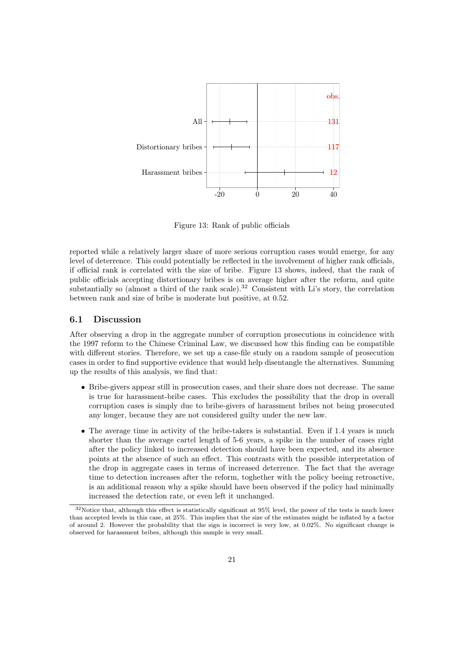<span id="page-21-0"></span>

Figure 13: Rank of public officials

reported while a relatively larger share of more serious corruption cases would emerge, for any level of deterrence. This could potentially be reflected in the involvement of higher rank officials, if official rank is correlated with the size of bribe. Figure [13](#page-21-0) shows, indeed, that the rank of public officials accepting distortionary bribes is on average higher after the reform, and quite substantially so (almost a third of the rank scale).<sup>[32](#page-21-1)</sup> Consistent with Li's story, the correlation between rank and size of bribe is moderate but positive, at 0.52.

#### 6.1 Discussion

After observing a drop in the aggregate number of corruption prosecutions in coincidence with the 1997 reform to the Chinese Criminal Law, we discussed how this finding can be compatible with different stories. Therefore, we set up a case-file study on a random sample of prosecution cases in order to find supportive evidence that would help disentangle the alternatives. Summing up the results of this analysis, we find that:

- Bribe-givers appear still in prosecution cases, and their share does not decrease. The same is true for harassment-bribe cases. This excludes the possibility that the drop in overall corruption cases is simply due to bribe-givers of harassment bribes not being prosecuted any longer, because they are not considered guilty under the new law.
- The average time in activity of the bribe-takers is substantial. Even if 1.4 years is much shorter than the average cartel length of 5-6 years, a spike in the number of cases right after the policy linked to increased detection should have been expected, and its absence points at the absence of such an effect. This contrasts with the possible interpretation of the drop in aggregate cases in terms of increased deterrence. The fact that the average time to detection increases after the reform, toghether with the policy beeing retroactive, is an additional reason why a spike should have been observed if the policy had minimally increased the detection rate, or even left it unchanged.

<span id="page-21-1"></span> $32$ Notice that, although this effect is statistically significant at 95% level, the power of the tests is much lower than accepted levels in this case, at 25%. This implies that the size of the estimates might be inflated by a factor of around 2. However the probability that the sign is incorrect is very low, at 0.02%. No significant change is observed for harassment bribes, although this sample is very small.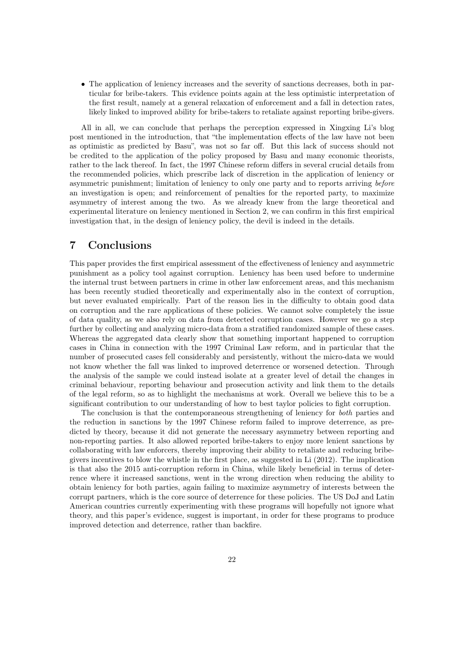• The application of leniency increases and the severity of sanctions decreases, both in particular for bribe-takers. This evidence points again at the less optimistic interpretation of the first result, namely at a general relaxation of enforcement and a fall in detection rates, likely linked to improved ability for bribe-takers to retaliate against reporting bribe-givers.

All in all, we can conclude that perhaps the perception expressed in Xingxing Li's blog post mentioned in the introduction, that "the implementation effects of the law have not been as optimistic as predicted by Basu", was not so far off. But this lack of success should not be credited to the application of the policy proposed by Basu and many economic theorists, rather to the lack thereof. In fact, the 1997 Chinese reform differs in several crucial details from the recommended policies, which prescribe lack of discretion in the application of leniency or asymmetric punishment; limitation of leniency to only one party and to reports arriving before an investigation is open; and reinforcement of penalties for the reported party, to maximize asymmetry of interest among the two. As we already knew from the large theoretical and experimental literature on leniency mentioned in Section [2,](#page-4-2) we can confirm in this first empirical investigation that, in the design of leniency policy, the devil is indeed in the details.

## 7 Conclusions

This paper provides the first empirical assessment of the effectiveness of leniency and asymmetric punishment as a policy tool against corruption. Leniency has been used before to undermine the internal trust between partners in crime in other law enforcement areas, and this mechanism has been recently studied theoretically and experimentally also in the context of corruption, but never evaluated empirically. Part of the reason lies in the difficulty to obtain good data on corruption and the rare applications of these policies. We cannot solve completely the issue of data quality, as we also rely on data from detected corruption cases. However we go a step further by collecting and analyzing micro-data from a stratified randomized sample of these cases. Whereas the aggregated data clearly show that something important happened to corruption cases in China in connection with the 1997 Criminal Law reform, and in particular that the number of prosecuted cases fell considerably and persistently, without the micro-data we would not know whether the fall was linked to improved deterrence or worsened detection. Through the analysis of the sample we could instead isolate at a greater level of detail the changes in criminal behaviour, reporting behaviour and prosecution activity and link them to the details of the legal reform, so as to highlight the mechanisms at work. Overall we believe this to be a significant contribution to our understanding of how to best taylor policies to fight corruption.

The conclusion is that the contemporaneous strengthening of leniency for both parties and the reduction in sanctions by the 1997 Chinese reform failed to improve deterrence, as predicted by theory, because it did not generate the necessary asymmetry between reporting and non-reporting parties. It also allowed reported bribe-takers to enjoy more lenient sanctions by collaborating with law enforcers, thereby improving their ability to retaliate and reducing bribegivers incentives to blow the whistle in the first place, as suggested in [Li](#page-25-1) [\(2012\)](#page-25-1). The implication is that also the 2015 anti-corruption reform in China, while likely beneficial in terms of deterrence where it increased sanctions, went in the wrong direction when reducing the ability to obtain leniency for both parties, again failing to maximize asymmetry of interests between the corrupt partners, which is the core source of deterrence for these policies. The US DoJ and Latin American countries currently experimenting with these programs will hopefully not ignore what theory, and this paper's evidence, suggest is important, in order for these programs to produce improved detection and deterrence, rather than backfire.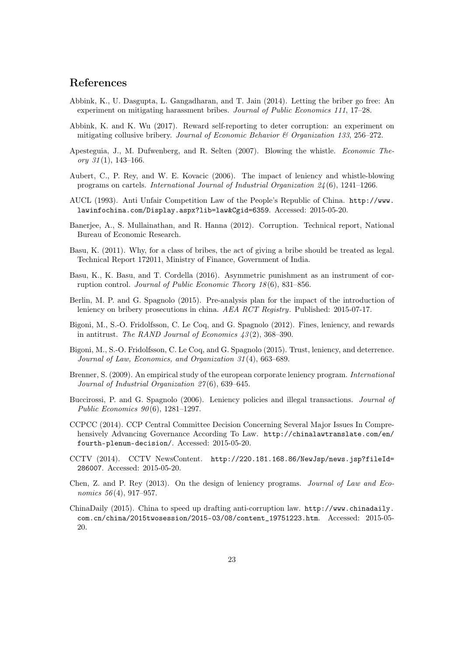## References

- <span id="page-23-9"></span>Abbink, K., U. Dasgupta, L. Gangadharan, and T. Jain (2014). Letting the briber go free: An experiment on mitigating harassment bribes. Journal of Public Economics 111, 17–28.
- <span id="page-23-8"></span>Abbink, K. and K. Wu (2017). Reward self-reporting to deter corruption: an experiment on mitigating collusive bribery. Journal of Economic Behavior & Organization 133, 256–272.
- <span id="page-23-11"></span>Apesteguia, J., M. Dufwenberg, and R. Selten (2007). Blowing the whistle. Economic Theory  $31(1)$ , 143-166.
- <span id="page-23-4"></span>Aubert, C., P. Rey, and W. E. Kovacic (2006). The impact of leniency and whistle-blowing programs on cartels. International Journal of Industrial Organization 24 (6), 1241–1266.
- <span id="page-23-13"></span>AUCL (1993). Anti Unfair Competition Law of the People's Republic of China. [http://www.](http://www.lawinfochina.com/Display.aspx?lib=law&Cgid=6359) [lawinfochina.com/Display.aspx?lib=law&Cgid=6359](http://www.lawinfochina.com/Display.aspx?lib=law&Cgid=6359). Accessed: 2015-05-20.
- <span id="page-23-1"></span>Banerjee, A., S. Mullainathan, and R. Hanna (2012). Corruption. Technical report, National Bureau of Economic Research.
- <span id="page-23-0"></span>Basu, K. (2011). Why, for a class of bribes, the act of giving a bribe should be treated as legal. Technical Report 172011, Ministry of Finance, Government of India.
- <span id="page-23-10"></span>Basu, K., K. Basu, and T. Cordella (2016). Asymmetric punishment as an instrument of corruption control. Journal of Public Economic Theory 18 (6), 831–856.
- <span id="page-23-3"></span>Berlin, M. P. and G. Spagnolo (2015). Pre-analysis plan for the impact of the introduction of leniency on bribery prosecutions in china. AEA RCT Registry. Published: 2015-07-17.
- <span id="page-23-7"></span>Bigoni, M., S.-O. Fridolfsson, C. Le Coq, and G. Spagnolo (2012). Fines, leniency, and rewards in antitrust. The RAND Journal of Economics  $43(2)$ , 368–390.
- <span id="page-23-12"></span>Bigoni, M., S.-O. Fridolfsson, C. Le Coq, and G. Spagnolo (2015). Trust, leniency, and deterrence. Journal of Law, Economics, and Organization 31 (4), 663–689.
- <span id="page-23-6"></span>Brenner, S. (2009). An empirical study of the european corporate leniency program. International Journal of Industrial Organization 27 (6), 639–645.
- <span id="page-23-2"></span>Buccirossi, P. and G. Spagnolo (2006). Leniency policies and illegal transactions. Journal of Public Economics 90 (6), 1281–1297.
- <span id="page-23-14"></span>CCPCC (2014). CCP Central Committee Decision Concerning Several Major Issues In Comprehensively Advancing Governance According To Law. [http://chinalawtranslate.com/en/](http://chinalawtranslate.com/en/fourth-plenum-decision/) [fourth-plenum-decision/](http://chinalawtranslate.com/en/fourth-plenum-decision/). Accessed: 2015-05-20.
- <span id="page-23-16"></span>CCTV (2014). CCTV NewsContent. [http://220.181.168.86/NewJsp/news.jsp?fileId=](http://220.181.168.86/NewJsp/news.jsp?fileId=286007) [286007](http://220.181.168.86/NewJsp/news.jsp?fileId=286007). Accessed: 2015-05-20.
- <span id="page-23-5"></span>Chen, Z. and P. Rey (2013). On the design of leniency programs. Journal of Law and Economics 56(4), 917–957.
- <span id="page-23-15"></span>ChinaDaily (2015). China to speed up drafting anti-corruption law. [http://www.chinadaily.](http://www.chinadaily.com.cn/china/2015twosession/2015-03/08/content_19751223.htm) [com.cn/china/2015twosession/2015-03/08/content\\_19751223.htm](http://www.chinadaily.com.cn/china/2015twosession/2015-03/08/content_19751223.htm). Accessed: 2015-05- 20.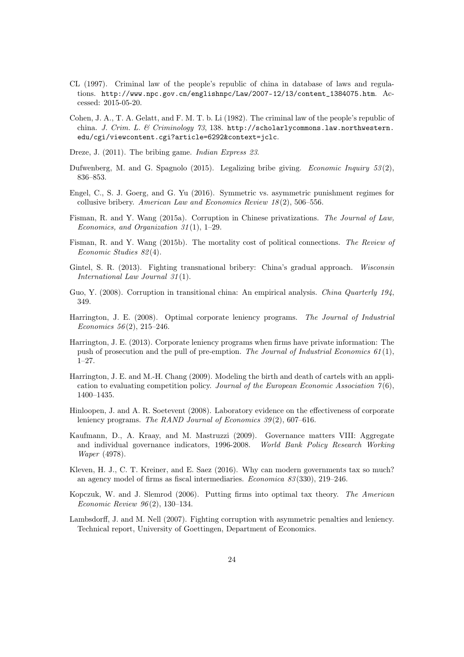- <span id="page-24-13"></span>CL (1997). Criminal law of the people's republic of china in database of laws and regulations. [http://www.npc.gov.cn/englishnpc/Law/2007-12/13/content\\_1384075.htm](http://www.npc.gov.cn/englishnpc/Law/2007-12/13/content_1384075.htm). Accessed: 2015-05-20.
- <span id="page-24-12"></span>Cohen, J. A., T. A. Gelatt, and F. M. T. b. Li (1982). The criminal law of the people's republic of china. J. Crim. L. & Criminology 73, 138. [http://scholarlycommons.law.northwestern.](http://scholarlycommons.law.northwestern.edu/cgi/viewcontent.cgi?article=6292&context=jclc) [edu/cgi/viewcontent.cgi?article=6292&context=jclc](http://scholarlycommons.law.northwestern.edu/cgi/viewcontent.cgi?article=6292&context=jclc).

<span id="page-24-0"></span>Dreze, J. (2011). The bribing game. *Indian Express 23*.

- <span id="page-24-1"></span>Dufwenberg, M. and G. Spagnolo (2015). Legalizing bribe giving. Economic Inquiry  $53(2)$ , 836–853.
- <span id="page-24-7"></span>Engel, C., S. J. Goerg, and G. Yu (2016). Symmetric vs. asymmetric punishment regimes for collusive bribery. American Law and Economics Review 18 (2), 506–556.
- <span id="page-24-2"></span>Fisman, R. and Y. Wang (2015a). Corruption in Chinese privatizations. The Journal of Law, Economics, and Organization 31 (1), 1–29.
- <span id="page-24-3"></span>Fisman, R. and Y. Wang (2015b). The mortality cost of political connections. The Review of Economic Studies 82 (4).
- <span id="page-24-14"></span>Gintel, S. R. (2013). Fighting transnational bribery: China's gradual approach. Wisconsin International Law Journal 31 (1).
- <span id="page-24-15"></span>Guo, Y. (2008). Corruption in transitional china: An empirical analysis. *China Quarterly 194*, 349.
- <span id="page-24-4"></span>Harrington, J. E. (2008). Optimal corporate leniency programs. The Journal of Industrial Economics 56(2), 215–246.
- <span id="page-24-5"></span>Harrington, J. E. (2013). Corporate leniency programs when firms have private information: The push of prosecution and the pull of pre-emption. The Journal of Industrial Economics  $61(1)$ , 1–27.
- <span id="page-24-6"></span>Harrington, J. E. and M.-H. Chang (2009). Modeling the birth and death of cartels with an application to evaluating competition policy. Journal of the European Economic Association  $\gamma(6)$ , 1400–1435.
- <span id="page-24-11"></span>Hinloopen, J. and A. R. Soetevent (2008). Laboratory evidence on the effectiveness of corporate leniency programs. The RAND Journal of Economics  $39(2)$ , 607–616.
- <span id="page-24-16"></span>Kaufmann, D., A. Kraay, and M. Mastruzzi (2009). Governance matters VIII: Aggregate and individual governance indicators, 1996-2008. World Bank Policy Research Working Waper (4978).
- <span id="page-24-9"></span>Kleven, H. J., C. T. Kreiner, and E. Saez (2016). Why can modern governments tax so much? an agency model of firms as fiscal intermediaries. Economica 83 (330), 219–246.
- <span id="page-24-8"></span>Kopczuk, W. and J. Slemrod (2006). Putting firms into optimal tax theory. The American Economic Review 96 (2), 130–134.
- <span id="page-24-10"></span>Lambsdorff, J. and M. Nell (2007). Fighting corruption with asymmetric penalties and leniency. Technical report, University of Goettingen, Department of Economics.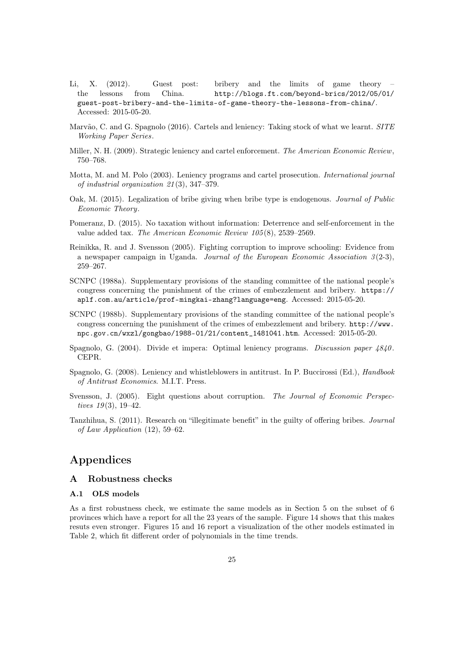- <span id="page-25-1"></span>Li, X. (2012). Guest post: bribery and the limits of game theory the lessons from China. [http://blogs.ft.com/beyond-brics/2012/05/01/](http://blogs.ft.com/beyond-brics/2012/05/01/guest-post-bribery-and-the-limits-of-game-theory-the-lessons-from-china/) [guest-post-bribery-and-the-limits-of-game-theory-the-lessons-from-china/](http://blogs.ft.com/beyond-brics/2012/05/01/guest-post-bribery-and-the-limits-of-game-theory-the-lessons-from-china/). Accessed: 2015-05-20.
- <span id="page-25-5"></span>Marvão, C. and G. Spagnolo (2016). Cartels and leniency: Taking stock of what we learnt. SITE Working Paper Series.
- <span id="page-25-0"></span>Miller, N. H. (2009). Strategic leniency and cartel enforcement. The American Economic Review, 750–768.
- <span id="page-25-6"></span>Motta, M. and M. Polo (2003). Leniency programs and cartel prosecution. International journal of industrial organization 21 (3), 347–379.
- <span id="page-25-9"></span>Oak, M. (2015). Legalization of bribe giving when bribe type is endogenous. Journal of Public Economic Theory.
- <span id="page-25-8"></span>Pomeranz, D. (2015). No taxation without information: Deterrence and self-enforcement in the value added tax. The American Economic Review 105 (8), 2539–2569.
- <span id="page-25-7"></span>Reinikka, R. and J. Svensson (2005). Fighting corruption to improve schooling: Evidence from a newspaper campaign in Uganda. Journal of the European Economic Association  $3(2-3)$ , 259–267.
- <span id="page-25-10"></span>SCNPC (1988a). Supplementary provisions of the standing committee of the national people's congress concerning the punishment of the crimes of embezzlement and bribery. [https://](https://aplf.com.au/article/prof-mingkai-zhang?language=eng) [aplf.com.au/article/prof-mingkai-zhang?language=eng](https://aplf.com.au/article/prof-mingkai-zhang?language=eng). Accessed: 2015-05-20.
- <span id="page-25-11"></span>SCNPC (1988b). Supplementary provisions of the standing committee of the national people's congress concerning the punishment of the crimes of embezzlement and bribery. [http://www.](http://www.npc.gov.cn/wxzl/gongbao/1988-01/21/content_1481041.htm) [npc.gov.cn/wxzl/gongbao/1988-01/21/content\\_1481041.htm](http://www.npc.gov.cn/wxzl/gongbao/1988-01/21/content_1481041.htm). Accessed: 2015-05-20.
- <span id="page-25-3"></span>Spagnolo, G. (2004). Divide et impera: Optimal leniency programs. Discussion paper 4840 . CEPR.
- <span id="page-25-4"></span>Spagnolo, G. (2008). Leniency and whistleblowers in antitrust. In P. Buccirossi (Ed.), Handbook of Antitrust Economics. M.I.T. Press.
- <span id="page-25-2"></span>Svensson, J. (2005). Eight questions about corruption. The Journal of Economic Perspectives  $19(3)$ , 19-42.
- <span id="page-25-12"></span>Tanzhihua, S. (2011). Research on "illegitimate benefit" in the guilty of offering bribes. Journal of Law Application (12), 59–62.

## Appendices

#### <span id="page-25-13"></span>A Robustness checks

#### A.1 OLS models

As a first robustness check, we estimate the same models as in Section [5](#page-11-0) on the subset of 6 provinces which have a report for all the 23 years of the sample. Figure [14](#page-26-0) shows that this makes resuts even stronger. Figures [15](#page-27-0) and [16](#page-27-1) report a visualization of the other models estimated in Table [2,](#page-14-0) which fit different order of polynomials in the time trends.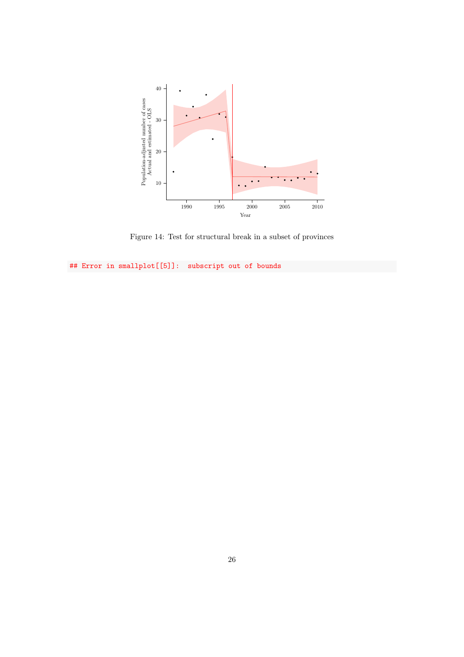<span id="page-26-0"></span>

Figure 14: Test for structural break in a subset of provinces

## Error in smallplot[[5]]: subscript out of bounds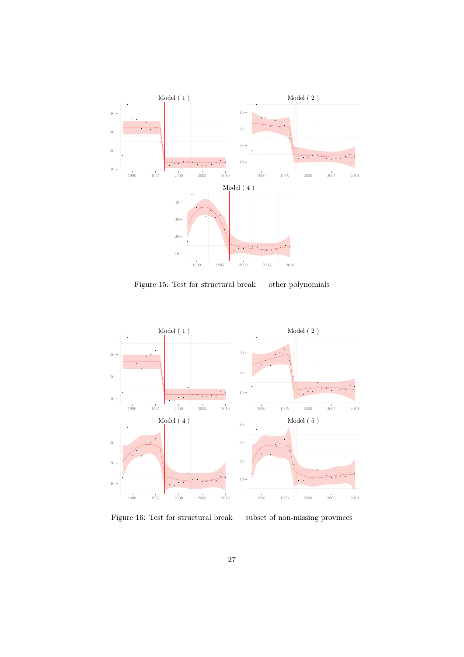<span id="page-27-0"></span>

Figure 15: Test for structural break — other polynomials

<span id="page-27-1"></span>

Figure 16: Test for structural break — subset of non-missing provinces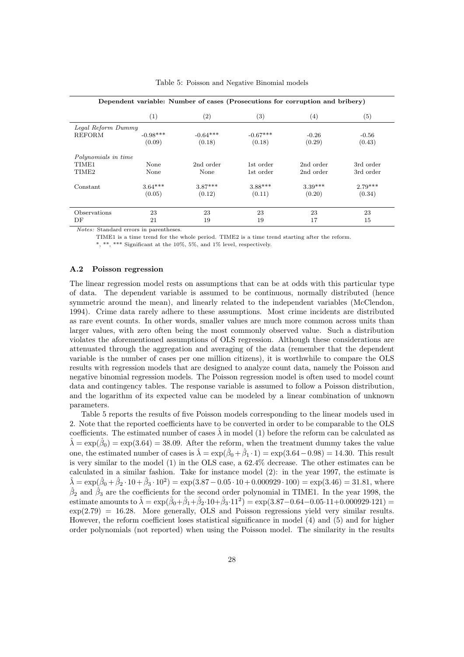<span id="page-28-0"></span>

| Dependent variable: Number of cases (Prosecutions for corruption and bribery) |            |            |                  |           |           |  |
|-------------------------------------------------------------------------------|------------|------------|------------------|-----------|-----------|--|
|                                                                               | (1)        | (2)        | $\left(3\right)$ | (4)       | (5)       |  |
| Legal Reform Dummy                                                            |            |            |                  |           |           |  |
| REFORM                                                                        | $-0.98***$ | $-0.64***$ | $-0.67***$       | $-0.26$   | $-0.56$   |  |
|                                                                               | (0.09)     | (0.18)     | (0.18)           | (0.29)    | (0.43)    |  |
| Polynomials in time                                                           |            |            |                  |           |           |  |
| TIME1                                                                         | None       | 2nd order  | 1st order        | 2nd order | 3rd order |  |
| TIME2                                                                         | None       | None       | 1st order        | 2nd order | 3rd order |  |
| Constant                                                                      | $3.64***$  | $3.87***$  | $3.88***$        | $3.39***$ | $2.79***$ |  |
|                                                                               | (0.05)     | (0.12)     | (0.11)           | (0.20)    | (0.34)    |  |
|                                                                               |            |            |                  |           |           |  |
| Observations                                                                  | 23         | 23         | 23               | 23        | 23        |  |
| DF                                                                            | 21         | 19         | 19               | 17        | 15        |  |

Table 5: Poisson and Negative Binomial models

Notes: Standard errors in parentheses.

TIME1 is a time trend for the whole period. TIME2 is a time trend starting after the reform.

\*, \*\*, \*\*\* Significant at the 10%, 5%, and 1% level, respectively.

#### A.2 Poisson regression

The linear regression model rests on assumptions that can be at odds with this particular type of data. The dependent variable is assumed to be continuous, normally distributed (hence symmetric around the mean), and linearly related to the independent variables (McClendon, 1994). Crime data rarely adhere to these assumptions. Most crime incidents are distributed as rare event counts. In other words, smaller values are much more common across units than larger values, with zero often being the most commonly observed value. Such a distribution violates the aforementioned assumptions of OLS regression. Although these considerations are attenuated through the aggregation and averaging of the data (remember that the dependent variable is the number of cases per one million citizens), it is worthwhile to compare the OLS results with regression models that are designed to analyze count data, namely the Poisson and negative binomial regression models. The Poisson regression model is often used to model count data and contingency tables. The response variable is assumed to follow a Poisson distribution, and the logarithm of its expected value can be modeled by a linear combination of unknown parameters.

Table [5](#page-28-0) reports the results of five Poisson models corresponding to the linear models used in [2.](#page-14-0) Note that the reported coefficients have to be converted in order to be comparable to the OLS coefficients. The estimated number of cases  $\hat{\lambda}$  in model (1) before the reform can be calculated as  $\hat{\lambda} = \exp(\hat{\beta}_0) = \exp(3.64) = 38.09$ . After the reform, when the treatment dummy takes the value one, the estimated number of cases is  $\hat{\lambda} = \exp(\hat{\beta}_0 + \hat{\beta}_1 \cdot 1) = \exp(3.64 - 0.98) = 14.30$ . This result is very similar to the model (1) in the OLS case, a 62.4% decrease. The other estimates can be calculated in a similar fashion. Take for instance model (2): in the year 1997, the estimate is  $\hat{\lambda} = \exp(\hat{\beta}_0 + \hat{\beta}_2 \cdot 10 + \hat{\beta}_3 \cdot 10^2) = \exp(3.87 - 0.05 \cdot 10 + 0.000929 \cdot 100) = \exp(3.46) = 31.81$ , where  $\hat{\beta}_2$  and  $\hat{\beta}_3$  are the coefficients for the second order polynomial in TIME1. In the year 1998, the  $\text{estimate amounts to }\hat{\lambda}=\exp(\hat{\beta}_0+\hat{\beta}_1+\hat{\beta}_2\cdot10+\hat{\beta}_3\cdot11^2)=\exp(3.87-0.64-0.05\cdot11+0.000929\cdot121)=$  $\exp(2.79) = 16.28$ . More generally, OLS and Poisson regressions yield very similar results. However, the reform coefficient loses statistical significance in model (4) and (5) and for higher order polynomials (not reported) when using the Poisson model. The similarity in the results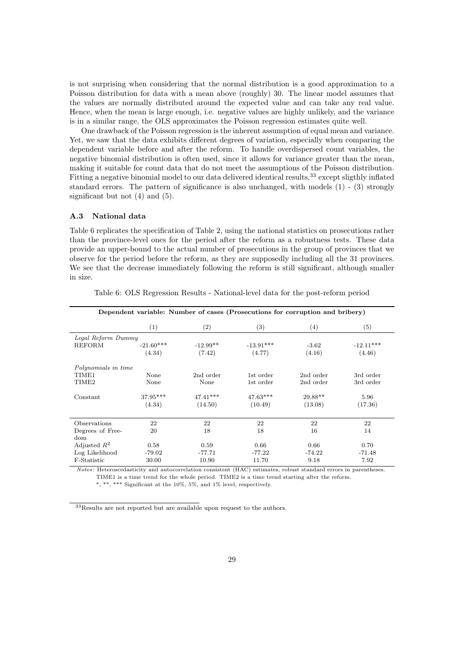is not surprising when considering that the normal distribution is a good approximation to a Poisson distribution for data with a mean above (roughly) 30. The linear model assumes that the values are normally distributed around the expected value and can take any real value. Hence, when the mean is large enough, i.e. negative values are highly unlikely, and the variance is in a similar range, the OLS approximates the Poisson regression estimates quite well.

One drawback of the Poisson regression is the inherent assumption of equal mean and variance. Yet, we saw that the data exhibits different degrees of variation, especially when comparing the dependent variable before and after the reform. To handle overdispersed count variables, the negative binomial distribution is often used, since it allows for variance greater than the mean, making it suitable for count data that do not meet the assumptions of the Poisson distribution. Fitting a negative binomial model to our data delivered identical results,<sup>[33](#page-29-0)</sup> except sligthly inflated standard errors. The pattern of significance is also unchanged, with models (1) - (3) strongly significant but not  $(4)$  and  $(5)$ .

#### A.3 National data

Table [6](#page-29-1) replicates the specification of Table [2,](#page-14-0) using the national statistics on prosecutions rather than the province-level ones for the period after the reform as a robustness tests. These data provide an upper-bound to the actual number of prosecutions in the group of provinces that we observe for the period before the reform, as they are supposedly including all the 31 provinces. We see that the decrease immediately following the reform is still significant, although smaller in size.

<span id="page-29-1"></span>

|                     |             | Dependent variable: Number of cases (Prosecutions for corruption and bribery) |             |           |             |  |  |
|---------------------|-------------|-------------------------------------------------------------------------------|-------------|-----------|-------------|--|--|
|                     | (1)         | (2)                                                                           | (3)         | (4)       | (5)         |  |  |
| Legal Reform Dummy  |             |                                                                               |             |           |             |  |  |
| REFORM              | $-21.60***$ | $-12.99**$                                                                    | $-13.91***$ | $-3.62$   | $-12.11***$ |  |  |
|                     | (4.34)      | (7.42)                                                                        | (4.77)      | (4.16)    | (4.46)      |  |  |
| Polynomials in time |             |                                                                               |             |           |             |  |  |
| TIME1               | None        | 2nd order                                                                     | 1st order   | 2nd order | 3rd order   |  |  |
| TIME2               | None        | None                                                                          | 1st order   | 2nd order | 3rd order   |  |  |
| Constant            | $37.95***$  | $47.41***$                                                                    | $47.63***$  | $29.88**$ | 5.96        |  |  |
|                     | (4.34)      | (14.50)                                                                       | (10.49)     | (13.08)   | (17.36)     |  |  |
|                     |             |                                                                               |             |           |             |  |  |
| Observations        | 22          | 22                                                                            | 22          | 22        | 22          |  |  |
| Degrees of Free-    | 20          | 18                                                                            | 18          | 16        | 14          |  |  |
| dom                 |             |                                                                               |             |           |             |  |  |
| Adjusted $R^2$      | 0.58        | 0.59                                                                          | 0.66        | 0.66      | 0.70        |  |  |
| Log Likelihood      | -79.02      | $-77.71$                                                                      | -77.22      | $-74.22$  | $-71.48$    |  |  |
| F-Statistic         | 30.00       | 10.90                                                                         | 11.70       | 9.18      | 7.92        |  |  |

Table 6: OLS Regression Results - National-level data for the post-reform period

Notes: Heteroscedasticity and autocorrelation consistent (HAC) estimates, robust standard errors in parentheses. TIME1 is a time trend for the whole period. TIME2 is a time trend starting after the reform.

\*, \*\*, \*\*\* Significant at the 10%, 5%, and 1% level, respectively.

<span id="page-29-0"></span><sup>33</sup>Results are not reported but are available upon request to the authors.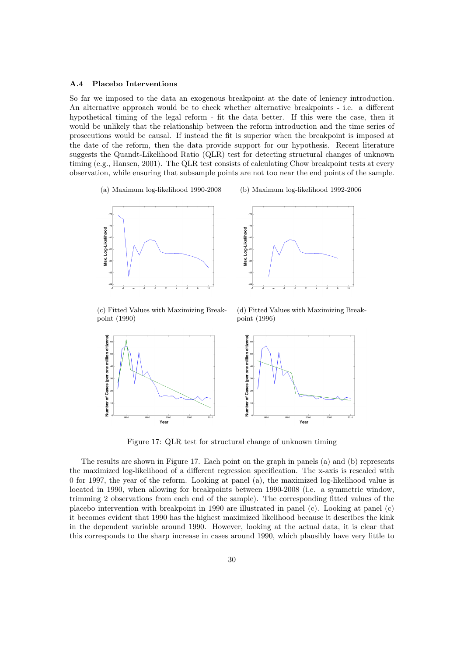#### A.4 Placebo Interventions

So far we imposed to the data an exogenous breakpoint at the date of leniency introduction. An alternative approach would be to check whether alternative breakpoints - i.e. a different hypothetical timing of the legal reform - fit the data better. If this were the case, then it would be unlikely that the relationship between the reform introduction and the time series of prosecutions would be causal. If instead the fit is superior when the breakpoint is imposed at the date of the reform, then the data provide support for our hypothesis. Recent literature suggests the Quandt-Likelihood Ratio (QLR) test for detecting structural changes of unknown timing (e.g., Hansen, 2001). The QLR test consists of calculating Chow breakpoint tests at every observation, while ensuring that subsample points are not too near the end points of the sample.

<span id="page-30-0"></span>(a) Maximum log-likelihood 1990-2008 (b) Maximum log-likelihood 1992-2006



(c) Fitted Values with Maximizing Breakpoint (1990)

(d) Fitted Values with Maximizing Breakpoint (1996)



Figure 17: QLR test for structural change of unknown timing

The results are shown in Figure [17.](#page-30-0) Each point on the graph in panels (a) and (b) represents the maximized log-likelihood of a different regression specification. The x-axis is rescaled with 0 for 1997, the year of the reform. Looking at panel (a), the maximized log-likelihood value is located in 1990, when allowing for breakpoints between 1990-2008 (i.e. a symmetric window, trimming 2 observations from each end of the sample). The corresponding fitted values of the placebo intervention with breakpoint in 1990 are illustrated in panel (c). Looking at panel (c) it becomes evident that 1990 has the highest maximized likelihood because it describes the kink in the dependent variable around 1990. However, looking at the actual data, it is clear that this corresponds to the sharp increase in cases around 1990, which plausibly have very little to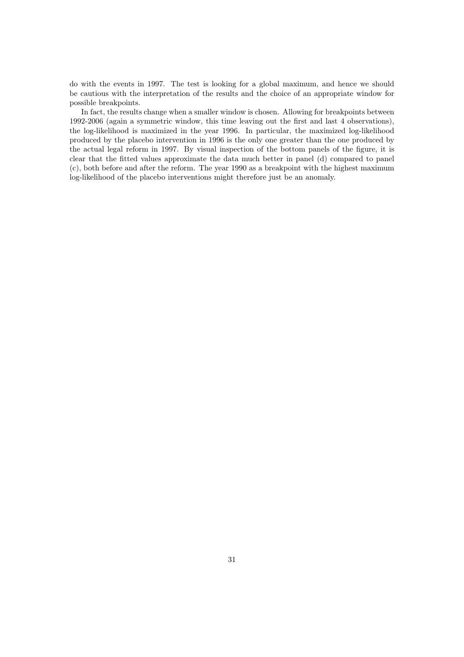do with the events in 1997. The test is looking for a global maximum, and hence we should be cautious with the interpretation of the results and the choice of an appropriate window for possible breakpoints.

In fact, the results change when a smaller window is chosen. Allowing for breakpoints between 1992-2006 (again a symmetric window, this time leaving out the first and last 4 observations), the log-likelihood is maximized in the year 1996. In particular, the maximized log-likelihood produced by the placebo intervention in 1996 is the only one greater than the one produced by the actual legal reform in 1997. By visual inspection of the bottom panels of the figure, it is clear that the fitted values approximate the data much better in panel (d) compared to panel (c), both before and after the reform. The year 1990 as a breakpoint with the highest maximum log-likelihood of the placebo interventions might therefore just be an anomaly.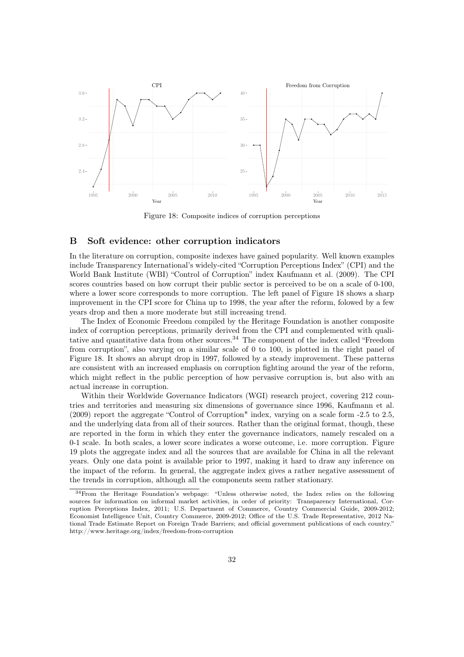<span id="page-32-1"></span>

Figure 18: Composite indices of corruption perceptions

#### <span id="page-32-0"></span>B Soft evidence: other corruption indicators

In the literature on corruption, composite indexes have gained popularity. Well known examples include Transparency International's widely-cited "Corruption Perceptions Index" (CPI) and the World Bank Institute (WBI) "Control of Corruption" index [Kaufmann et al.](#page-24-16) [\(2009\)](#page-24-16). The CPI scores countries based on how corrupt their public sector is perceived to be on a scale of  $0-100$ , where a lower score corresponds to more corruption. The left panel of Figure [18](#page-32-1) shows a sharp improvement in the CPI score for China up to 1998, the year after the reform, folowed by a few years drop and then a more moderate but still increasing trend.

The Index of Economic Freedom compiled by the Heritage Foundation is another composite index of corruption perceptions, primarily derived from the CPI and complemented with quali-tative and quantitative data from other sources.<sup>[34](#page-32-2)</sup> The component of the index called "Freedom" from corruption", also varying on a similar scale of 0 to 100, is plotted in the right panel of Figure [18.](#page-32-1) It shows an abrupt drop in 1997, followed by a steady improvement. These patterns are consistent with an increased emphasis on corruption fighting around the year of the reform, which might reflect in the public perception of how pervasive corruption is, but also with an actual increase in corruption.

Within their Worldwide Governance Indicators (WGI) research project, covering 212 countries and territories and measuring six dimensions of governance since 1996, [Kaufmann et al.](#page-24-16) [\(2009\)](#page-24-16) report the aggregate "Control of Corruption" index, varying on a scale form -2.5 to 2.5, and the underlying data from all of their sources. Rather than the original format, though, these are reported in the form in which they enter the governance indicators, namely rescaled on a 0-1 scale. In both scales, a lower score indicates a worse outcome, i.e. more corruption. Figure [19](#page-33-0) plots the aggregate index and all the sources that are available for China in all the relevant years. Only one data point is available prior to 1997, making it hard to draw any inference on the impact of the reform. In general, the aggregate index gives a rather negative assessment of the trends in corruption, although all the components seem rather stationary.

<span id="page-32-2"></span><sup>34</sup>From the Heritage Foundation's webpage: "Unless otherwise noted, the Index relies on the following sources for information on informal market activities, in order of priority: Transparency International, Corruption Perceptions Index, 2011; U.S. Department of Commerce, Country Commercial Guide, 2009-2012; Economist Intelligence Unit, Country Commerce, 2009-2012; Office of the U.S. Trade Representative, 2012 National Trade Estimate Report on Foreign Trade Barriers; and official government publications of each country." http://www.heritage.org/index/freedom-from-corruption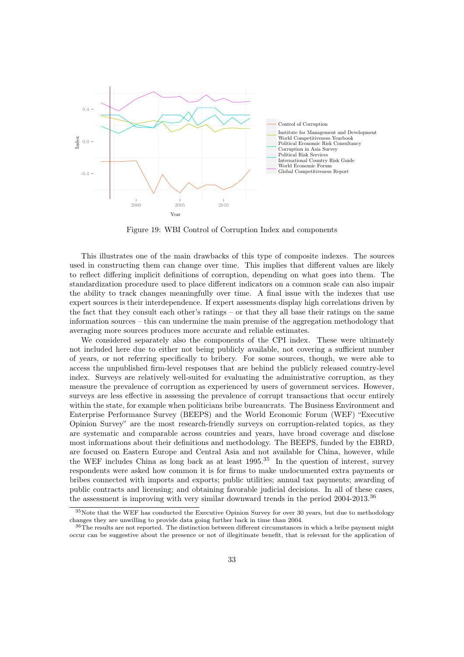<span id="page-33-0"></span>

Figure 19: WBI Control of Corruption Index and components

This illustrates one of the main drawbacks of this type of composite indexes. The sources used in constructing them can change over time. This implies that different values are likely to reflect differing implicit definitions of corruption, depending on what goes into them. The standardization procedure used to place different indicators on a common scale can also impair the ability to track changes meaningfully over time. A final issue with the indexes that use expert sources is their interdependence. If expert assessments display high correlations driven by the fact that they consult each other's ratings – or that they all base their ratings on the same information sources – this can undermine the main premise of the aggregation methodology that averaging more sources produces more accurate and reliable estimates.

We considered separately also the components of the CPI index. These were ultimately not included here due to either not being publicly available, not covering a sufficient number of years, or not referring specifically to bribery. For some sources, though, we were able to access the unpublished firm-level responses that are behind the publicly released country-level index. Surveys are relatively well-suited for evaluating the administrative corruption, as they measure the prevalence of corruption as experienced by users of government services. However, surveys are less effective in assessing the prevalence of corrupt transactions that occur entirely within the state, for example when politicians bribe bureaucrats. The Business Environment and Enterprise Performance Survey (BEEPS) and the World Economic Forum (WEF) "Executive Opinion Survey" are the most research-friendly surveys on corruption-related topics, as they are systematic and comparable across countries and years, have broad coverage and disclose most informations about their definitions and methodology. The BEEPS, funded by the EBRD, are focused on Eastern Europe and Central Asia and not available for China, however, while the WEF includes China as long back as at least  $1995$ .<sup>[35](#page-33-1)</sup> In the question of interest, survey respondents were asked how common it is for firms to make undocumented extra payments or bribes connected with imports and exports; public utilities; annual tax payments; awarding of public contracts and licensing; and obtaining favorable judicial decisions. In all of these cases, the assessment is improving with very similar downward trends in the period 2004-2013.<sup>[36](#page-33-2)</sup>

<span id="page-33-1"></span><sup>&</sup>lt;sup>35</sup>Note that the WEF has conducted the Executive Opinion Survey for over 30 years, but due to methodology changes they are unwilling to provide data going further back in time than 2004.

<span id="page-33-2"></span><sup>&</sup>lt;sup>36</sup>The results are not reported. The distinction between different circumstances in which a bribe payment might occur can be suggestive about the presence or not of illegitimate benefit, that is relevant for the application of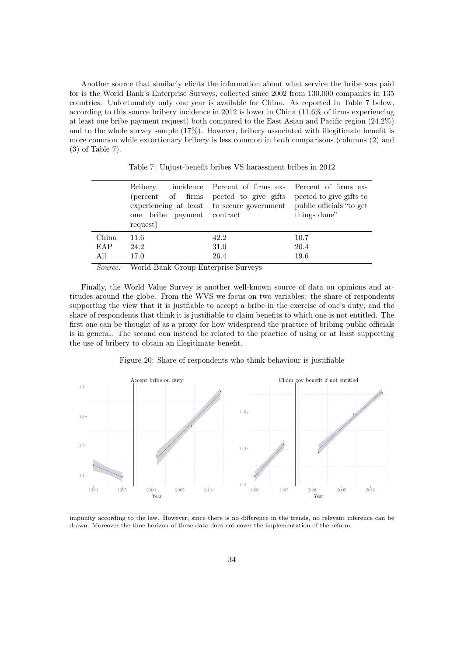Another source that similarly elicits the information about what service the bribe was paid for is the World Bank's Enterprise Surveys, collected since 2002 from 130,000 companies in 135 countries. Unfortunately only one year is available for China. As reported in Table [7](#page-34-0) below, according to this source bribery incidence in 2012 is lower in China (11.6% of firms experiencing at least one bribe payment request) both compared to the East Asian and Pacific region (24.2%) and to the whole survey sample (17%). However, bribery associated with illegitimate benefit is more common while extortionary bribery is less common in both comparisons (columns (2) and (3) of Table [7\)](#page-34-0).

<span id="page-34-0"></span>

|                | Bribery<br>(percent of firms)<br>one bribe payment<br>request) | incidence Percent of firms ex- Percent of firms ex-<br>experiencing at least to secure government<br>contract | pected to give gifts pected to give gifts to<br>public officials "to get<br>things done" |
|----------------|----------------------------------------------------------------|---------------------------------------------------------------------------------------------------------------|------------------------------------------------------------------------------------------|
| China          | 11.6                                                           | 42.2                                                                                                          | 10.7                                                                                     |
| EAP            | 24.2                                                           | 31.0                                                                                                          | 20.4                                                                                     |
| All            | 17.0                                                           | 26.4                                                                                                          | 19.6                                                                                     |
| <i>Source:</i> | World Bank Group Enterprise Surveys                            |                                                                                                               |                                                                                          |

Table 7: Unjust-benefit bribes VS harassment bribes in 2012

Finally, the World Value Survey is another well-known source of data on opinions and attitudes around the globe. From the WVS we focus on two variables: the share of respondents supporting the view that it is justfiable to accept a bribe in the exercise of one's duty; and the share of respondents that think it is justifiable to claim benefits to which one is not entitled. The first one can be thought of as a proxy for how widespread the practice of bribing public officials is in general. The second can instead be related to the practice of using or at least supporting

<span id="page-34-1"></span>the use of bribery to obtain an illegitimate benefit.

Figure 20: Share of respondents who think behaviour is justifiable



impunity according to the law. However, since there is no difference in the trends, no relevant inference can be drawn. Moreover the time horizon of these data does not cover the implementation of the reform.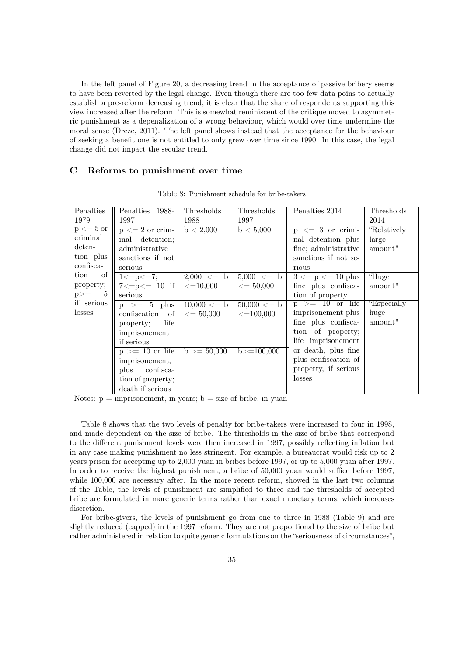In the left panel of Figure [20,](#page-34-1) a decreasing trend in the acceptance of passive bribery seems to have been reverted by the legal change. Even though there are too few data poins to actually establish a pre-reform decreasing trend, it is clear that the share of respondents supporting this view increased after the reform. This is somewhat reminiscent of the critique moved to asymmetric punishment as a depenalization of a wrong behaviour, which would over time undermine the moral sense [\(Dreze, 2011\)](#page-24-0). The left panel shows instead that the acceptance for the behaviour of seeking a benefit one is not entitled to only grew over time since 1990. In this case, the legal change did not impact the secular trend.

#### <span id="page-35-1"></span>C Reforms to punishment over time

<span id="page-35-0"></span>

| Penalties    | Penalties 1988-     | Thresholds                 | Thresholds          | Penalties 2014        | Thresholds   |
|--------------|---------------------|----------------------------|---------------------|-----------------------|--------------|
| 1979         | 1997                | 1988                       | 1997                |                       | 2014         |
| $p \le 5$ or | $p \leq 2$ or crim- | $\rm b < 2,000$            | $\rm b < 5{,}000$   | $p \leq 3$ or crimi-  | "Relatively" |
| criminal     | inal detention;     |                            |                     | nal detention plus    | large        |
| deten-       | administrative      |                            |                     | fine; administrative  | amount"      |
| tion plus    | sanctions if not    |                            |                     | sanctions if not se-  |              |
| confisca-    | serious             |                            |                     | rious                 |              |
| of<br>tion   | $1 < p < = 7;$      | $2,000 \leq b$             | $5,000 \leq b$      | $3 \le p \le 10$ plus | "Huge        |
| property;    | $7 < p < = 10$ if   | $< = 10,000$               | $\epsilon = 50,000$ | fine plus confisca-   | amount"      |
| $p>=$<br>- 5 | serious             |                            |                     | tion of property      |              |
| if serious   | $p \geq 5$ plus     | $\overline{10,}000 \leq b$ | $50,000 \le b$      | $p \geq 10$ or life   | "Especially" |
| losses       | confiscation of     | $\epsilon = 50,\!000$      | $\leq = 100,000$    | imprisonement plus    | huge         |
|              | property;<br>life   |                            |                     | fine plus confisca-   | amount"      |
|              | imprisonement       |                            |                     | tion of property;     |              |
|              | if serious          |                            |                     | life imprisonement    |              |
|              | $p \geq 10$ or life | $b >= 50,000$              | $b \gt = 100,000$   | or death, plus fine   |              |
|              | imprisonement,      |                            |                     | plus confiscation of  |              |
|              | confisca-<br>plus   |                            |                     | property, if serious  |              |
|              | tion of property;   |                            |                     | losses                |              |
|              | death if serious    |                            |                     |                       |              |

Table 8: Punishment schedule for bribe-takers

Notes:  $p =$  imprisonement, in years;  $b =$  size of bribe, in yuan

Table [8](#page-35-0) shows that the two levels of penalty for bribe-takers were increased to four in 1998, and made dependent on the size of bribe. The thresholds in the size of bribe that correspond to the different punishment levels were then increased in 1997, possibly reflecting inflation but in any case making punishment no less stringent. For example, a bureaucrat would risk up to 2 years prison for accepting up to 2,000 yuan in bribes before 1997, or up to 5,000 yuan after 1997. In order to receive the highest punishment, a bribe of 50,000 yuan would suffice before 1997, while  $100,000$  are necessary after. In the more recent reform, showed in the last two columns of the Table, the levels of punishment are simplified to three and the thresholds of accepted bribe are formulated in more generic terms rather than exact monetary terms, which increases discretion.

For bribe-givers, the levels of punishment go from one to three in 1988 (Table [9\)](#page-36-0) and are slightly reduced (capped) in the 1997 reform. They are not proportional to the size of bribe but rather administered in relation to quite generic formulations on the "seriousness of circumstances",